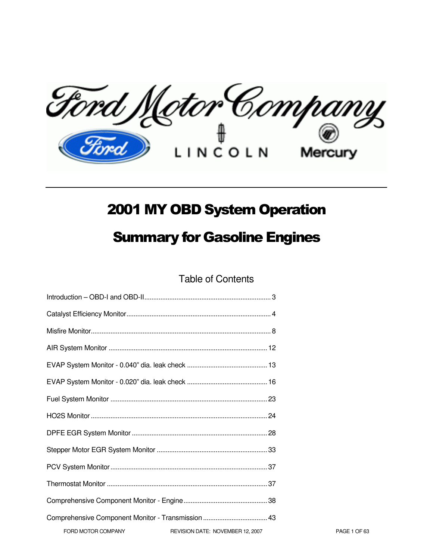Ford Motor Company Mercury

# 2001 MY OBD System Operation

# Summary for Gasoline Engines

Table of Contents

| Comprehensive Component Monitor - Transmission  43 |                                  |
|----------------------------------------------------|----------------------------------|
| FORD MOTOR COMPANY                                 | REVISION DATE: NOVEMBER 12, 2007 |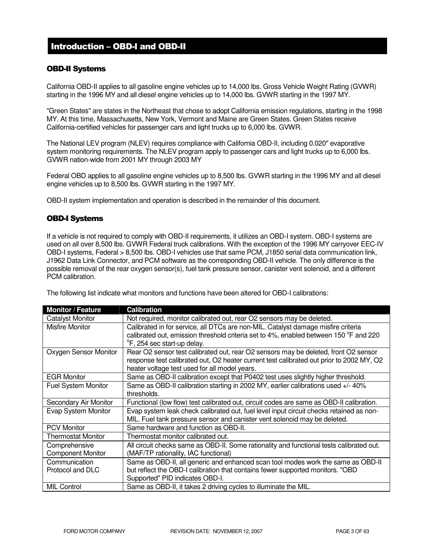# Introduction – OBD-I and OBD-II

### OBD-II Systems

California OBD-II applies to all gasoline engine vehicles up to 14,000 lbs. Gross Vehicle Weight Rating (GVWR) starting in the 1996 MY and all diesel engine vehicles up to 14,000 lbs. GVWR starting in the 1997 MY.

"Green States" are states in the Northeast that chose to adopt California emission regulations, starting in the 1998 MY. At this time, Massachusetts, New York, Vermont and Maine are Green States. Green States receive California-certified vehicles for passenger cars and light trucks up to 6,000 lbs. GVWR.

The National LEV program (NLEV) requires compliance with California OBD-II, including 0.020" evaporative system monitoring requirements. The NLEV program apply to passenger cars and light trucks up to 6,000 lbs. GVWR nation-wide from 2001 MY through 2003 MY

Federal OBD applies to all gasoline engine vehicles up to 8,500 lbs. GVWR starting in the 1996 MY and all diesel engine vehicles up to 8,500 lbs. GVWR starting in the 1997 MY.

OBD-II system implementation and operation is described in the remainder of this document.

### OBD-I Systems

If a vehicle is not required to comply with OBD-II requirements, it utilizes an OBD-I system. OBD-I systems are used on all over 8,500 lbs. GVWR Federal truck calibrations. With the exception of the 1996 MY carryover EEC-IV OBD-I systems, Federal > 8,500 lbs. OBD-I vehicles use that same PCM, J1850 serial data communication link, J1962 Data Link Connector, and PCM software as the corresponding OBD-II vehicle. The only difference is the possible removal of the rear oxygen sensor(s), fuel tank pressure sensor, canister vent solenoid, and a different PCM calibration.

The following list indicate what monitors and functions have been altered for OBD-I calibrations:

| <b>Monitor / Feature</b>   | <b>Calibration</b>                                                                                                                                                         |
|----------------------------|----------------------------------------------------------------------------------------------------------------------------------------------------------------------------|
| <b>Catalyst Monitor</b>    | Not required, monitor calibrated out, rear O2 sensors may be deleted.                                                                                                      |
| <b>Misfire Monitor</b>     | Calibrated in for service, all DTCs are non-MIL. Catalyst damage misfire criteria<br>calibrated out, emission threshold criteria set to 4%, enabled between 150 °F and 220 |
|                            | <sup>o</sup> F, 254 sec start-up delay.                                                                                                                                    |
| Oxygen Sensor Monitor      | Rear O2 sensor test calibrated out, rear O2 sensors may be deleted, front O2 sensor                                                                                        |
|                            | response test calibrated out, O2 heater current test calibrated out prior to 2002 MY, O2                                                                                   |
|                            | heater voltage test used for all model years.                                                                                                                              |
| <b>EGR Monitor</b>         | Same as OBD-II calibration except that P0402 test uses slightly higher threshold.                                                                                          |
| <b>Fuel System Monitor</b> | Same as OBD-II calibration starting in 2002 MY, earlier calibrations used +/- 40%<br>thresholds.                                                                           |
| Secondary Air Monitor      | Functional (low flow) test calibrated out, circuit codes are same as OBD-II calibration.                                                                                   |
| Evap System Monitor        | Evap system leak check calibrated out, fuel level input circuit checks retained as non-<br>MIL. Fuel tank pressure sensor and canister vent solenoid may be deleted.       |
| <b>PCV Monitor</b>         | Same hardware and function as OBD-II.                                                                                                                                      |
| <b>Thermostat Monitor</b>  | Thermostat monitor calibrated out.                                                                                                                                         |
| Comprehensive              | All circuit checks same as OBD-II. Some rationality and functional tests calibrated out.                                                                                   |
| <b>Component Monitor</b>   | (MAF/TP rationality, IAC functional)                                                                                                                                       |
| Communication              | Same as OBD-II, all generic and enhanced scan tool modes work the same as OBD-II                                                                                           |
| Protocol and DLC           | but reflect the OBD-I calibration that contains fewer supported monitors. "OBD                                                                                             |
|                            | Supported" PID indicates OBD-I.                                                                                                                                            |
| <b>MIL Control</b>         | Same as OBD-II, it takes 2 driving cycles to illuminate the MIL.                                                                                                           |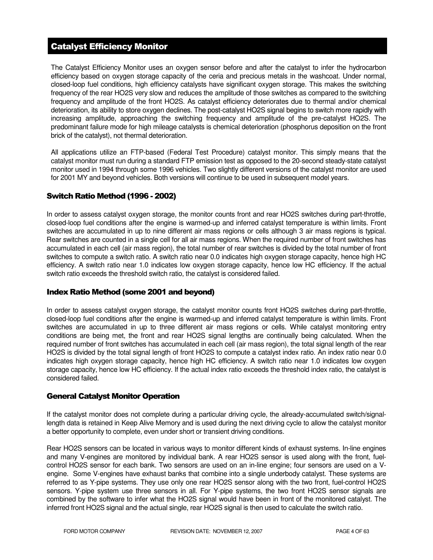# Catalyst Efficiency Monitor

The Catalyst Efficiency Monitor uses an oxygen sensor before and after the catalyst to infer the hydrocarbon efficiency based on oxygen storage capacity of the ceria and precious metals in the washcoat. Under normal, closed-loop fuel conditions, high efficiency catalysts have significant oxygen storage. This makes the switching frequency of the rear HO2S very slow and reduces the amplitude of those switches as compared to the switching frequency and amplitude of the front HO2S. As catalyst efficiency deteriorates due to thermal and/or chemical deterioration, its ability to store oxygen declines. The post-catalyst HO2S signal begins to switch more rapidly with increasing amplitude, approaching the switching frequency and amplitude of the pre-catalyst HO2S. The predominant failure mode for high mileage catalysts is chemical deterioration (phosphorus deposition on the front brick of the catalyst), not thermal deterioration.

All applications utilize an FTP-based (Federal Test Procedure) catalyst monitor. This simply means that the catalyst monitor must run during a standard FTP emission test as opposed to the 20-second steady-state catalyst monitor used in 1994 through some 1996 vehicles. Two slightly different versions of the catalyst monitor are used for 2001 MY and beyond vehicles. Both versions will continue to be used in subsequent model years.

### Switch Ratio Method (1996 - 2002)

In order to assess catalyst oxygen storage, the monitor counts front and rear HO2S switches during part-throttle, closed-loop fuel conditions after the engine is warmed-up and inferred catalyst temperature is within limits. Front switches are accumulated in up to nine different air mass regions or cells although 3 air mass regions is typical. Rear switches are counted in a single cell for all air mass regions. When the required number of front switches has accumulated in each cell (air mass region), the total number of rear switches is divided by the total number of front switches to compute a switch ratio. A switch ratio near 0.0 indicates high oxygen storage capacity, hence high HC efficiency. A switch ratio near 1.0 indicates low oxygen storage capacity, hence low HC efficiency. If the actual switch ratio exceeds the threshold switch ratio, the catalyst is considered failed.

### Index Ratio Method (some 2001 and beyond)

In order to assess catalyst oxygen storage, the catalyst monitor counts front HO2S switches during part-throttle, closed-loop fuel conditions after the engine is warmed-up and inferred catalyst temperature is within limits. Front switches are accumulated in up to three different air mass regions or cells. While catalyst monitoring entry conditions are being met, the front and rear HO2S signal lengths are continually being calculated. When the required number of front switches has accumulated in each cell (air mass region), the total signal length of the rear HO2S is divided by the total signal length of front HO2S to compute a catalyst index ratio. An index ratio near 0.0 indicates high oxygen storage capacity, hence high HC efficiency. A switch ratio near 1.0 indicates low oxygen storage capacity, hence low HC efficiency. If the actual index ratio exceeds the threshold index ratio, the catalyst is considered failed.

### General Catalyst Monitor Operation

If the catalyst monitor does not complete during a particular driving cycle, the already-accumulated switch/signallength data is retained in Keep Alive Memory and is used during the next driving cycle to allow the catalyst monitor a better opportunity to complete, even under short or transient driving conditions.

Rear HO2S sensors can be located in various ways to monitor different kinds of exhaust systems. In-line engines and many V-engines are monitored by individual bank. A rear HO2S sensor is used along with the front, fuelcontrol HO2S sensor for each bank. Two sensors are used on an in-line engine; four sensors are used on a Vengine. Some V-engines have exhaust banks that combine into a single underbody catalyst. These systems are referred to as Y-pipe systems. They use only one rear HO2S sensor along with the two front, fuel-control HO2S sensors. Y-pipe system use three sensors in all. For Y-pipe systems, the two front HO2S sensor signals are combined by the software to infer what the HO2S signal would have been in front of the monitored catalyst. The inferred front HO2S signal and the actual single, rear HO2S signal is then used to calculate the switch ratio.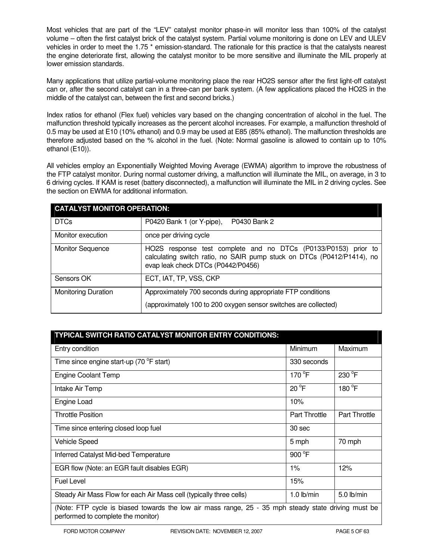Most vehicles that are part of the "LEV" catalyst monitor phase-in will monitor less than 100% of the catalyst volume – often the first catalyst brick of the catalyst system. Partial volume monitoring is done on LEV and ULEV vehicles in order to meet the 1.75<sup>\*</sup> emission-standard. The rationale for this practice is that the catalysts nearest the engine deteriorate first, allowing the catalyst monitor to be more sensitive and illuminate the MIL properly at lower emission standards.

Many applications that utilize partial-volume monitoring place the rear HO2S sensor after the first light-off catalyst can or, after the second catalyst can in a three-can per bank system. (A few applications placed the HO2S in the middle of the catalyst can, between the first and second bricks.)

Index ratios for ethanol (Flex fuel) vehicles vary based on the changing concentration of alcohol in the fuel. The malfunction threshold typically increases as the percent alcohol increases. For example, a malfunction threshold of 0.5 may be used at E10 (10% ethanol) and 0.9 may be used at E85 (85% ethanol). The malfunction thresholds are therefore adjusted based on the % alcohol in the fuel. (Note: Normal gasoline is allowed to contain up to 10% ethanol (E10)).

All vehicles employ an Exponentially Weighted Moving Average (EWMA) algorithm to improve the robustness of the FTP catalyst monitor. During normal customer driving, a malfunction will illuminate the MIL, on average, in 3 to 6 driving cycles. If KAM is reset (battery disconnected), a malfunction will illuminate the MIL in 2 driving cycles. See the section on EWMA for additional information.

| <b>CATALYST MONITOR OPERATION:</b> |                                                                                                                                                                                |  |  |
|------------------------------------|--------------------------------------------------------------------------------------------------------------------------------------------------------------------------------|--|--|
| <b>DTCs</b>                        | P0430 Bank 2<br>P0420 Bank 1 (or Y-pipe),                                                                                                                                      |  |  |
| Monitor execution                  | once per driving cycle                                                                                                                                                         |  |  |
| <b>Monitor Sequence</b>            | HO2S response test complete and no DTCs (P0133/P0153) prior to<br>calculating switch ratio, no SAIR pump stuck on DTCs (P0412/P1414), no<br>evap leak check DTCs (P0442/P0456) |  |  |
| Sensors OK                         | ECT, IAT, TP, VSS, CKP                                                                                                                                                         |  |  |
| <b>Monitoring Duration</b>         | Approximately 700 seconds during appropriate FTP conditions<br>(approximately 100 to 200 oxygen sensor switches are collected)                                                 |  |  |

| TYPICAL SWITCH RATIO CATALYST MONITOR ENTRY CONDITIONS:                                                                                   |                      |                      |  |
|-------------------------------------------------------------------------------------------------------------------------------------------|----------------------|----------------------|--|
| Entry condition                                                                                                                           | Minimum              | Maximum              |  |
| Time since engine start-up (70 °F start)                                                                                                  | 330 seconds          |                      |  |
| <b>Engine Coolant Temp</b>                                                                                                                | 170 $\degree$ F      | 230 °F               |  |
| Intake Air Temp                                                                                                                           | $20^{\circ}$ F       | 180 °F               |  |
| Engine Load                                                                                                                               | 10%                  |                      |  |
| <b>Throttle Position</b>                                                                                                                  | <b>Part Throttle</b> | <b>Part Throttle</b> |  |
| Time since entering closed loop fuel                                                                                                      | 30 sec               |                      |  |
| <b>Vehicle Speed</b>                                                                                                                      | 5 mph                | 70 mph               |  |
| Inferred Catalyst Mid-bed Temperature                                                                                                     | 900 °F               |                      |  |
| EGR flow (Note: an EGR fault disables EGR)                                                                                                | $1\%$                | 12%                  |  |
| <b>Fuel Level</b>                                                                                                                         | 15%                  |                      |  |
| Steady Air Mass Flow for each Air Mass cell (typically three cells)                                                                       | $1.0$ lb/min         | $5.0$ lb/min         |  |
| (Note: FTP cycle is biased towards the low air mass range, 25 - 35 mph steady state driving must be<br>performed to complete the monitor) |                      |                      |  |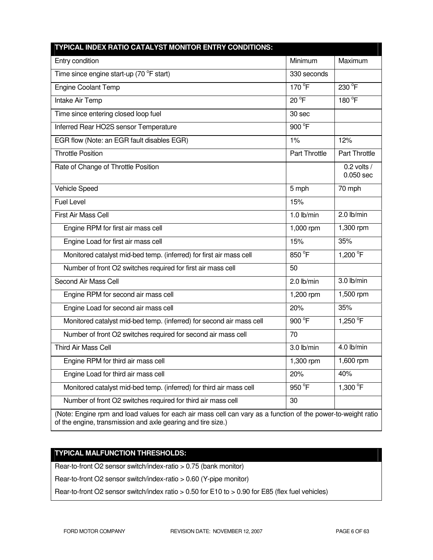| TYPICAL INDEX RATIO CATALYST MONITOR ENTRY CONDITIONS:                                                                                                                       |                      |                              |  |
|------------------------------------------------------------------------------------------------------------------------------------------------------------------------------|----------------------|------------------------------|--|
| Entry condition                                                                                                                                                              | Minimum              | Maximum                      |  |
| Time since engine start-up (70 °F start)                                                                                                                                     | 330 seconds          |                              |  |
| <b>Engine Coolant Temp</b>                                                                                                                                                   | 170 °F               | 230 °F                       |  |
| Intake Air Temp                                                                                                                                                              | $20^{\circ}$ F       | 180 °F                       |  |
| Time since entering closed loop fuel                                                                                                                                         | 30 sec               |                              |  |
| Inferred Rear HO2S sensor Temperature                                                                                                                                        | 900 °F               |                              |  |
| EGR flow (Note: an EGR fault disables EGR)                                                                                                                                   | 1%                   | 12%                          |  |
| <b>Throttle Position</b>                                                                                                                                                     | <b>Part Throttle</b> | Part Throttle                |  |
| Rate of Change of Throttle Position                                                                                                                                          |                      | $0.2$ volts /<br>$0.050$ sec |  |
| Vehicle Speed                                                                                                                                                                | 5 mph                | 70 mph                       |  |
| <b>Fuel Level</b>                                                                                                                                                            | 15%                  |                              |  |
| First Air Mass Cell                                                                                                                                                          | $1.0$ lb/min         | 2.0 lb/min                   |  |
| Engine RPM for first air mass cell                                                                                                                                           | 1,000 rpm            | 1,300 rpm                    |  |
| Engine Load for first air mass cell                                                                                                                                          | 15%                  | 35%                          |  |
| Monitored catalyst mid-bed temp. (inferred) for first air mass cell                                                                                                          | 850 °F               | 1,200 °F                     |  |
| Number of front O2 switches required for first air mass cell                                                                                                                 | 50                   |                              |  |
| Second Air Mass Cell                                                                                                                                                         | $2.0$ lb/min         | 3.0 lb/min                   |  |
| Engine RPM for second air mass cell                                                                                                                                          | 1,200 rpm            | 1,500 rpm                    |  |
| Engine Load for second air mass cell                                                                                                                                         | 20%                  | 35%                          |  |
| Monitored catalyst mid-bed temp. (inferred) for second air mass cell                                                                                                         | 900 °F               | 1,250 °F                     |  |
| Number of front O2 switches required for second air mass cell                                                                                                                | 70                   |                              |  |
| <b>Third Air Mass Cell</b>                                                                                                                                                   | 3.0 lb/min           | 4.0 lb/min                   |  |
| Engine RPM for third air mass cell                                                                                                                                           | 1,300 rpm            | 1,600 rpm                    |  |
| Engine Load for third air mass cell                                                                                                                                          | 20%                  | 40%                          |  |
| Monitored catalyst mid-bed temp. (inferred) for third air mass cell                                                                                                          | 950 °F               | 1,300 $^{\circ}$ F           |  |
| Number of front O2 switches required for third air mass cell                                                                                                                 | 30                   |                              |  |
| (Note: Engine rpm and load values for each air mass cell can vary as a function of the power-to-weight ratio<br>of the engine, transmission and axle gearing and tire size.) |                      |                              |  |

# **TYPICAL MALFUNCTION THRESHOLDS:**

Rear-to-front O2 sensor switch/index-ratio > 0.75 (bank monitor)

Rear-to-front O2 sensor switch/index-ratio > 0.60 (Y-pipe monitor)

Rear-to-front O2 sensor switch/index ratio > 0.50 for E10 to > 0.90 for E85 (flex fuel vehicles)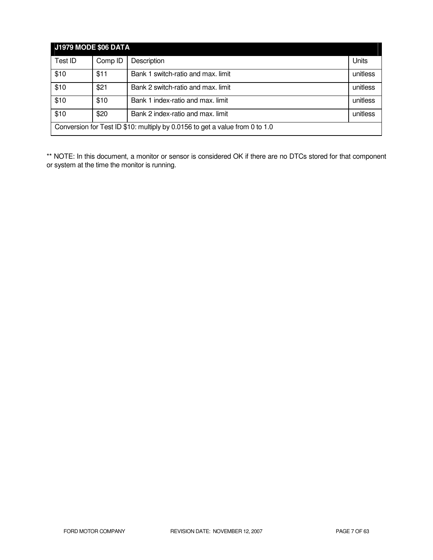| <b>J1979 MODE \$06 DATA</b>                                                  |         |                                    |          |
|------------------------------------------------------------------------------|---------|------------------------------------|----------|
| Test ID                                                                      | Comp ID | Description                        | Units    |
| \$10                                                                         | \$11    | Bank 1 switch-ratio and max. limit | unitless |
| \$10                                                                         | \$21    | Bank 2 switch-ratio and max. limit | unitless |
| \$10                                                                         | \$10    | Bank 1 index-ratio and max. limit  | unitless |
| \$10                                                                         | \$20    | Bank 2 index-ratio and max. limit  | unitless |
| Conversion for Test ID \$10: multiply by 0.0156 to get a value from 0 to 1.0 |         |                                    |          |

\*\* NOTE: In this document, a monitor or sensor is considered OK if there are no DTCs stored for that component or system at the time the monitor is running.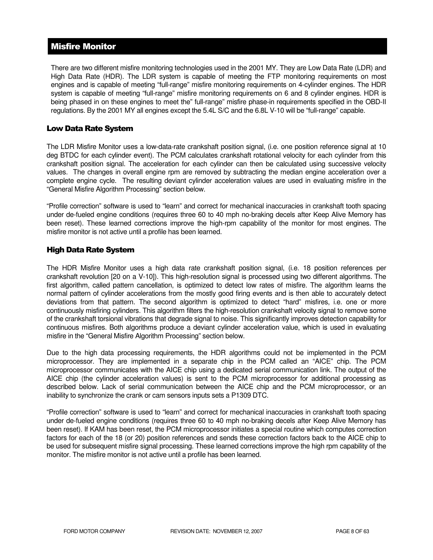# Misfire Monitor

There are two different misfire monitoring technologies used in the 2001 MY. They are Low Data Rate (LDR) and High Data Rate (HDR). The LDR system is capable of meeting the FTP monitoring requirements on most engines and is capable of meeting "full-range" misfire monitoring requirements on 4-cylinder engines. The HDR system is capable of meeting "full-range" misfire monitoring requirements on 6 and 8 cylinder engines. HDR is being phased in on these engines to meet the" full-range" misfire phase-in requirements specified in the OBD-II regulations. By the 2001 MY all engines except the 5.4L S/C and the 6.8L V-10 will be "full-range" capable.

### Low Data Rate System

The LDR Misfire Monitor uses a low-data-rate crankshaft position signal, (i.e. one position reference signal at 10 deg BTDC for each cylinder event). The PCM calculates crankshaft rotational velocity for each cylinder from this crankshaft position signal. The acceleration for each cylinder can then be calculated using successive velocity values. The changes in overall engine rpm are removed by subtracting the median engine acceleration over a complete engine cycle. The resulting deviant cylinder acceleration values are used in evaluating misfire in the "General Misfire Algorithm Processing" section below.

"Profile correction" software is used to "learn" and correct for mechanical inaccuracies in crankshaft tooth spacing under de-fueled engine conditions (requires three 60 to 40 mph no-braking decels after Keep Alive Memory has been reset). These learned corrections improve the high-rpm capability of the monitor for most engines. The misfire monitor is not active until a profile has been learned.

### High Data Rate System

The HDR Misfire Monitor uses a high data rate crankshaft position signal, (i.e. 18 position references per crankshaft revolution [20 on a V-10]). This high-resolution signal is processed using two different algorithms. The first algorithm, called pattern cancellation, is optimized to detect low rates of misfire. The algorithm learns the normal pattern of cylinder accelerations from the mostly good firing events and is then able to accurately detect deviations from that pattern. The second algorithm is optimized to detect "hard" misfires, i.e. one or more continuously misfiring cylinders. This algorithm filters the high-resolution crankshaft velocity signal to remove some of the crankshaft torsional vibrations that degrade signal to noise. This significantly improves detection capability for continuous misfires. Both algorithms produce a deviant cylinder acceleration value, which is used in evaluating misfire in the "General Misfire Algorithm Processing" section below.

Due to the high data processing requirements, the HDR algorithms could not be implemented in the PCM microprocessor. They are implemented in a separate chip in the PCM called an "AICE" chip. The PCM microprocessor communicates with the AICE chip using a dedicated serial communication link. The output of the AICE chip (the cylinder acceleration values) is sent to the PCM microprocessor for additional processing as described below. Lack of serial communication between the AICE chip and the PCM microprocessor, or an inability to synchronize the crank or cam sensors inputs sets a P1309 DTC.

"Profile correction" software is used to "learn" and correct for mechanical inaccuracies in crankshaft tooth spacing under de-fueled engine conditions (requires three 60 to 40 mph no-braking decels after Keep Alive Memory has been reset). If KAM has been reset, the PCM microprocessor initiates a special routine which computes correction factors for each of the 18 (or 20) position references and sends these correction factors back to the AICE chip to be used for subsequent misfire signal processing. These learned corrections improve the high rpm capability of the monitor. The misfire monitor is not active until a profile has been learned.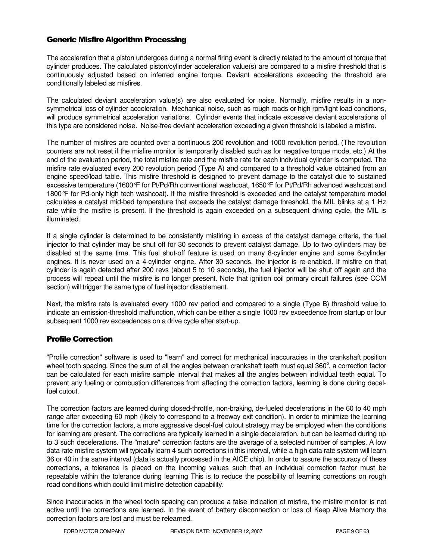### Generic Misfire Algorithm Processing

The acceleration that a piston undergoes during a normal firing event is directly related to the amount of torque that cylinder produces. The calculated piston/cylinder acceleration value(s) are compared to a misfire threshold that is continuously adjusted based on inferred engine torque. Deviant accelerations exceeding the threshold are conditionally labeled as misfires.

The calculated deviant acceleration value(s) are also evaluated for noise. Normally, misfire results in a nonsymmetrical loss of cylinder acceleration. Mechanical noise, such as rough roads or high rpm/light load conditions, will produce symmetrical acceleration variations. Cylinder events that indicate excessive deviant accelerations of this type are considered noise. Noise-free deviant acceleration exceeding a given threshold is labeled a misfire.

The number of misfires are counted over a continuous 200 revolution and 1000 revolution period. (The revolution counters are not reset if the misfire monitor is temporarily disabled such as for negative torque mode, etc.) At the end of the evaluation period, the total misfire rate and the misfire rate for each individual cylinder is computed. The misfire rate evaluated every 200 revolution period (Type A) and compared to a threshold value obtained from an engine speed/load table. This misfire threshold is designed to prevent damage to the catalyst due to sustained excessive temperature (1600°F for Pt/Pd/Rh conventional washcoat, 1650°F for Pt/Pd/Rh advanced washcoat and 1800°F for Pd-only high tech washcoat). If the misfire threshold is exceeded and the catalyst temperature model calculates a catalyst mid-bed temperature that exceeds the catalyst damage threshold, the MIL blinks at a 1 Hz rate while the misfire is present. If the threshold is again exceeded on a subsequent driving cycle, the MIL is illuminated.

If a single cylinder is determined to be consistently misfiring in excess of the catalyst damage criteria, the fuel injector to that cylinder may be shut off for 30 seconds to prevent catalyst damage. Up to two cylinders may be disabled at the same time. This fuel shut-off feature is used on many 8-cylinder engine and some 6-cylinder engines. It is never used on a 4-cylinder engine. After 30 seconds, the injector is re-enabled. If misfire on that cylinder is again detected after 200 revs (about 5 to 10 seconds), the fuel injector will be shut off again and the process will repeat until the misfire is no longer present. Note that ignition coil primary circuit failures (see CCM section) will trigger the same type of fuel injector disablement.

Next, the misfire rate is evaluated every 1000 rev period and compared to a single (Type B) threshold value to indicate an emission-threshold malfunction, which can be either a single 1000 rev exceedence from startup or four subsequent 1000 rev exceedences on a drive cycle after start-up.

### Profile Correction

"Profile correction" software is used to "learn" and correct for mechanical inaccuracies in the crankshaft position wheel tooth spacing. Since the sum of all the angles between crankshaft teeth must equal 360 $^{\circ}$ , a correction factor can be calculated for each misfire sample interval that makes all the angles between individual teeth equal. To prevent any fueling or combustion differences from affecting the correction factors, learning is done during decelfuel cutout.

The correction factors are learned during closed-throttle, non-braking, de-fueled decelerations in the 60 to 40 mph range after exceeding 60 mph (likely to correspond to a freeway exit condition). In order to minimize the learning time for the correction factors, a more aggressive decel-fuel cutout strategy may be employed when the conditions for learning are present. The corrections are typically learned in a single deceleration, but can be learned during up to 3 such decelerations. The "mature" correction factors are the average of a selected number of samples. A low data rate misfire system will typically learn 4 such corrections in this interval, while a high data rate system will learn 36 or 40 in the same interval (data is actually processed in the AICE chip). In order to assure the accuracy of these corrections, a tolerance is placed on the incoming values such that an individual correction factor must be repeatable within the tolerance during learning This is to reduce the possibility of learning corrections on rough road conditions which could limit misfire detection capability.

Since inaccuracies in the wheel tooth spacing can produce a false indication of misfire, the misfire monitor is not active until the corrections are learned. In the event of battery disconnection or loss of Keep Alive Memory the correction factors are lost and must be relearned.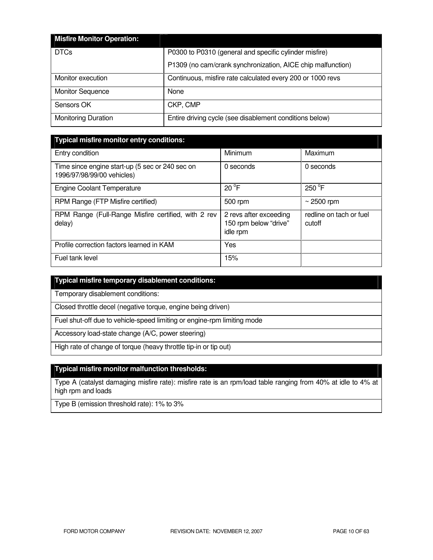| <b>Misfire Monitor Operation:</b> |                                                             |
|-----------------------------------|-------------------------------------------------------------|
| <b>DTCs</b>                       | P0300 to P0310 (general and specific cylinder misfire)      |
|                                   | P1309 (no cam/crank synchronization, AICE chip malfunction) |
| Monitor execution                 | Continuous, misfire rate calculated every 200 or 1000 revs  |
| <b>Monitor Sequence</b>           | None                                                        |
| Sensors OK                        | CKP, CMP                                                    |
| <b>Monitoring Duration</b>        | Entire driving cycle (see disablement conditions below)     |

| Typical misfire monitor entry conditions:                                     |                                                             |                                   |  |  |
|-------------------------------------------------------------------------------|-------------------------------------------------------------|-----------------------------------|--|--|
| Entry condition                                                               | Minimum                                                     | Maximum                           |  |  |
| Time since engine start-up (5 sec or 240 sec on<br>1996/97/98/99/00 vehicles) | 0 seconds                                                   | 0 seconds                         |  |  |
| <b>Engine Coolant Temperature</b>                                             | $20^{\circ}$ F                                              | $250^{\circ}$ F                   |  |  |
| RPM Range (FTP Misfire certified)                                             | 500 rpm                                                     | $\sim$ 2500 rpm                   |  |  |
| RPM Range (Full-Range Misfire certified, with 2 rev<br>delay)                 | 2 revs after exceeding<br>150 rpm below "drive"<br>idle rpm | redline on tach or fuel<br>cutoff |  |  |
| Profile correction factors learned in KAM                                     | Yes                                                         |                                   |  |  |
| Fuel tank level                                                               | 15%                                                         |                                   |  |  |

# **Typical misfire temporary disablement conditions:**

Temporary disablement conditions:

Closed throttle decel (negative torque, engine being driven)

Fuel shut-off due to vehicle-speed limiting or engine-rpm limiting mode

Accessory load-state change (A/C, power steering)

High rate of change of torque (heavy throttle tip-in or tip out)

### **Typical misfire monitor malfunction thresholds:**

Type A (catalyst damaging misfire rate): misfire rate is an rpm/load table ranging from 40% at idle to 4% at high rpm and loads

Type B (emission threshold rate): 1% to 3%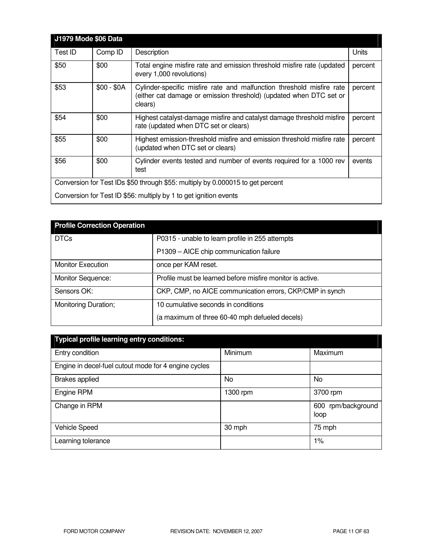| <b>J1979 Mode \$06 Data</b> |             |                                                                                                                                                        |         |
|-----------------------------|-------------|--------------------------------------------------------------------------------------------------------------------------------------------------------|---------|
| Test ID                     | Comp ID     | Description                                                                                                                                            | Units   |
| \$50                        | \$00        | Total engine misfire rate and emission threshold misfire rate (updated<br>every 1,000 revolutions)                                                     | percent |
| \$53                        | $$00 - $0A$ | Cylinder-specific misfire rate and malfunction threshold misfire rate<br>(either cat damage or emission threshold) (updated when DTC set or<br>clears) | percent |
| \$54                        | \$00        | Highest catalyst-damage misfire and catalyst damage threshold misfire<br>rate (updated when DTC set or clears)                                         | percent |
| \$55                        | \$00        | Highest emission-threshold misfire and emission threshold misfire rate<br>(updated when DTC set or clears)                                             | percent |
| \$56                        | \$00        | Cylinder events tested and number of events required for a 1000 rev<br>test                                                                            | events  |
|                             |             | Conversion for Test IDs \$50 through \$55: multiply by 0.000015 to get percent                                                                         |         |
|                             |             | Conversion for Test ID \$56: multiply by 1 to get ignition events                                                                                      |         |

| <b>Profile Correction Operation</b> |                                                           |
|-------------------------------------|-----------------------------------------------------------|
| <b>DTCs</b>                         | P0315 - unable to learn profile in 255 attempts           |
|                                     | P1309 - AICE chip communication failure                   |
| <b>Monitor Execution</b>            | once per KAM reset.                                       |
| <b>Monitor Sequence:</b>            | Profile must be learned before misfire monitor is active. |
| Sensors OK:                         | CKP, CMP, no AICE communication errors, CKP/CMP in synch  |
| Monitoring Duration;                | 10 cumulative seconds in conditions                       |
|                                     | (a maximum of three 60-40 mph defueled decels)            |

| Typical profile learning entry conditions:           |          |                            |  |  |
|------------------------------------------------------|----------|----------------------------|--|--|
| Entry condition                                      | Minimum  | Maximum                    |  |  |
| Engine in decel-fuel cutout mode for 4 engine cycles |          |                            |  |  |
| <b>Brakes applied</b>                                | No.      | No                         |  |  |
| Engine RPM                                           | 1300 rpm | 3700 rpm                   |  |  |
| Change in RPM                                        |          | 600 rpm/background<br>loop |  |  |
| Vehicle Speed                                        | 30 mph   | 75 mph                     |  |  |
| Learning tolerance                                   |          | $1\%$                      |  |  |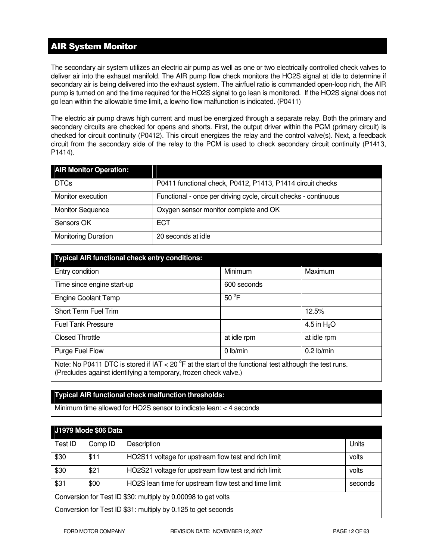# AIR System Monitor

The secondary air system utilizes an electric air pump as well as one or two electrically controlled check valves to deliver air into the exhaust manifold. The AIR pump flow check monitors the HO2S signal at idle to determine if secondary air is being delivered into the exhaust system. The air/fuel ratio is commanded open-loop rich, the AIR pump is turned on and the time required for the HO2S signal to go lean is monitored. If the HO2S signal does not go lean within the allowable time limit, a low/no flow malfunction is indicated. (P0411)

The electric air pump draws high current and must be energized through a separate relay. Both the primary and secondary circuits are checked for opens and shorts. First, the output driver within the PCM (primary circuit) is checked for circuit continuity (P0412). This circuit energizes the relay and the control valve(s). Next, a feedback circuit from the secondary side of the relay to the PCM is used to check secondary circuit continuity (P1413, P1414).

| <b>AIR Monitor Operation:</b> |                                                                  |
|-------------------------------|------------------------------------------------------------------|
| <b>DTCs</b>                   | P0411 functional check, P0412, P1413, P1414 circuit checks       |
| Monitor execution             | Functional - once per driving cycle, circuit checks - continuous |
| <b>Monitor Sequence</b>       | Oxygen sensor monitor complete and OK                            |
| Sensors OK                    | <b>ECT</b>                                                       |
| <b>Monitoring Duration</b>    | 20 seconds at idle                                               |

| <b>Typical AIR functional check entry conditions:</b>                                                                                                                                 |                |              |  |  |
|---------------------------------------------------------------------------------------------------------------------------------------------------------------------------------------|----------------|--------------|--|--|
| Entry condition                                                                                                                                                                       | Minimum        | Maximum      |  |  |
| Time since engine start-up                                                                                                                                                            | 600 seconds    |              |  |  |
| <b>Engine Coolant Temp</b>                                                                                                                                                            | $50^{\circ}$ F |              |  |  |
| Short Term Fuel Trim                                                                                                                                                                  |                | 12.5%        |  |  |
| <b>Fuel Tank Pressure</b>                                                                                                                                                             |                | 4.5 in $H2O$ |  |  |
| <b>Closed Throttle</b>                                                                                                                                                                | at idle rpm    | at idle rpm  |  |  |
| Purge Fuel Flow                                                                                                                                                                       | $0$ lb/min     | $0.2$ lb/min |  |  |
| Note: No P0411 DTC is stored if IAT < 20 $^{\circ}$ F at the start of the functional test although the test runs.<br>(Precludes against identifying a temporary, frozen check valve.) |                |              |  |  |

### **Typical AIR functional check malfunction thresholds:**

Minimum time allowed for HO2S sensor to indicate lean: < 4 seconds

| <b>J1979 Mode \$06 Data</b>                                   |         |                                                      |         |  |
|---------------------------------------------------------------|---------|------------------------------------------------------|---------|--|
| Test ID                                                       | Comp ID | Description                                          | Units   |  |
| \$30                                                          | \$11    | HO2S11 voltage for upstream flow test and rich limit | volts   |  |
| \$30                                                          | \$21    | HO2S21 voltage for upstream flow test and rich limit | volts   |  |
| \$31                                                          | \$00    | HO2S lean time for upstream flow test and time limit | seconds |  |
| Conversion for Test ID \$30: multiply by 0.00098 to get volts |         |                                                      |         |  |
| Conversion for Test ID \$31: multiply by 0.125 to get seconds |         |                                                      |         |  |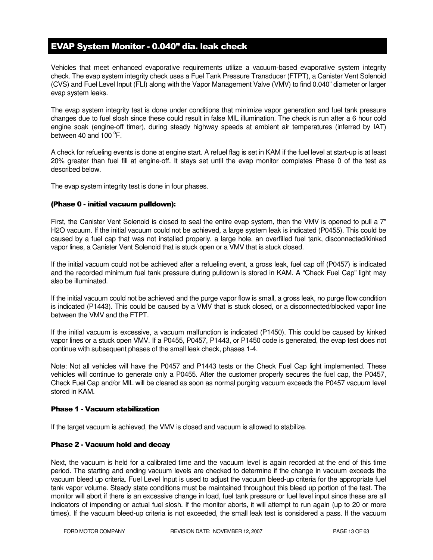# EVAP System Monitor - 0.040" dia. leak check

Vehicles that meet enhanced evaporative requirements utilize a vacuum-based evaporative system integrity check. The evap system integrity check uses a Fuel Tank Pressure Transducer (FTPT), a Canister Vent Solenoid (CVS) and Fuel Level Input (FLI) along with the Vapor Management Valve (VMV) to find 0.040" diameter or larger evap system leaks.

The evap system integrity test is done under conditions that minimize vapor generation and fuel tank pressure changes due to fuel slosh since these could result in false MIL illumination. The check is run after a 6 hour cold engine soak (engine-off timer), during steady highway speeds at ambient air temperatures (inferred by IAT) between 40 and  $100^{\circ}$ F.

A check for refueling events is done at engine start. A refuel flag is set in KAM if the fuel level at start-up is at least 20% greater than fuel fill at engine-off. It stays set until the evap monitor completes Phase 0 of the test as described below.

The evap system integrity test is done in four phases.

### (Phase 0 - initial vacuum pulldown):

First, the Canister Vent Solenoid is closed to seal the entire evap system, then the VMV is opened to pull a 7" H2O vacuum. If the initial vacuum could not be achieved, a large system leak is indicated (P0455). This could be caused by a fuel cap that was not installed properly, a large hole, an overfilled fuel tank, disconnected/kinked vapor lines, a Canister Vent Solenoid that is stuck open or a VMV that is stuck closed.

If the initial vacuum could not be achieved after a refueling event, a gross leak, fuel cap off (P0457) is indicated and the recorded minimum fuel tank pressure during pulldown is stored in KAM. A "Check Fuel Cap" light may also be illuminated.

If the initial vacuum could not be achieved and the purge vapor flow is small, a gross leak, no purge flow condition is indicated (P1443). This could be caused by a VMV that is stuck closed, or a disconnected/blocked vapor line between the VMV and the FTPT.

If the initial vacuum is excessive, a vacuum malfunction is indicated (P1450). This could be caused by kinked vapor lines or a stuck open VMV. If a P0455, P0457, P1443, or P1450 code is generated, the evap test does not continue with subsequent phases of the small leak check, phases 1-4.

Note: Not all vehicles will have the P0457 and P1443 tests or the Check Fuel Cap light implemented. These vehicles will continue to generate only a P0455. After the customer properly secures the fuel cap, the P0457, Check Fuel Cap and/or MIL will be cleared as soon as normal purging vacuum exceeds the P0457 vacuum level stored in KAM.

### Phase 1 - Vacuum stabilization

If the target vacuum is achieved, the VMV is closed and vacuum is allowed to stabilize.

### Phase 2 - Vacuum hold and decay

Next, the vacuum is held for a calibrated time and the vacuum level is again recorded at the end of this time period. The starting and ending vacuum levels are checked to determine if the change in vacuum exceeds the vacuum bleed up criteria. Fuel Level Input is used to adjust the vacuum bleed-up criteria for the appropriate fuel tank vapor volume. Steady state conditions must be maintained throughout this bleed up portion of the test. The monitor will abort if there is an excessive change in load, fuel tank pressure or fuel level input since these are all indicators of impending or actual fuel slosh. If the monitor aborts, it will attempt to run again (up to 20 or more times). If the vacuum bleed-up criteria is not exceeded, the small leak test is considered a pass. If the vacuum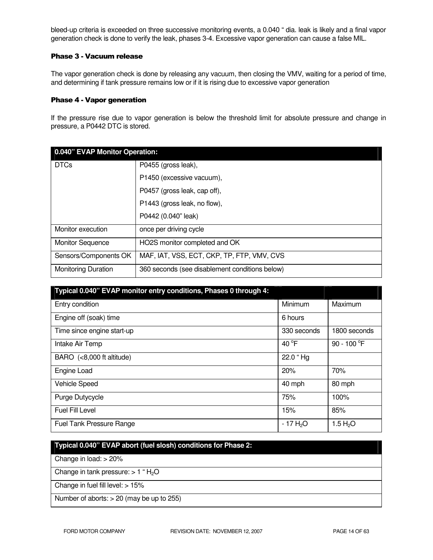bleed-up criteria is exceeded on three successive monitoring events, a 0.040 " dia. leak is likely and a final vapor generation check is done to verify the leak, phases 3-4. Excessive vapor generation can cause a false MIL.

### Phase 3 - Vacuum release

The vapor generation check is done by releasing any vacuum, then closing the VMV, waiting for a period of time, and determining if tank pressure remains low or if it is rising due to excessive vapor generation

#### Phase 4 - Vapor generation

If the pressure rise due to vapor generation is below the threshold limit for absolute pressure and change in pressure, a P0442 DTC is stored.

| 0.040" EVAP Monitor Operation: |                                                |  |
|--------------------------------|------------------------------------------------|--|
| <b>DTCs</b>                    | P0455 (gross leak),                            |  |
|                                | P1450 (excessive vacuum),                      |  |
|                                | P0457 (gross leak, cap off),                   |  |
|                                | P1443 (gross leak, no flow),                   |  |
|                                | P0442 (0.040" leak)                            |  |
| Monitor execution              | once per driving cycle                         |  |
| <b>Monitor Sequence</b>        | HO2S monitor completed and OK                  |  |
| Sensors/Components OK          | MAF, IAT, VSS, ECT, CKP, TP, FTP, VMV, CVS     |  |
| <b>Monitoring Duration</b>     | 360 seconds (see disablement conditions below) |  |

| Typical 0.040" EVAP monitor entry conditions, Phases 0 through 4: |                 |                       |
|-------------------------------------------------------------------|-----------------|-----------------------|
| Entry condition                                                   | Minimum         | Maximum               |
| Engine off (soak) time                                            | 6 hours         |                       |
| Time since engine start-up                                        | 330 seconds     | 1800 seconds          |
| Intake Air Temp                                                   | 40 $^{\circ}$ F | 90 - 100 $^{\circ}$ F |
| BARO (<8,000 ft altitude)                                         | 22.0 "Hg        |                       |
| Engine Load                                                       | 20%             | 70%                   |
| <b>Vehicle Speed</b>                                              | 40 mph          | 80 mph                |
| Purge Dutycycle                                                   | 75%             | 100%                  |
| Fuel Fill Level                                                   | 15%             | 85%                   |
| Fuel Tank Pressure Range                                          | $-17H2O$        | 1.5 H <sub>2</sub> O  |

# **Typical 0.040" EVAP abort (fuel slosh) conditions for Phase 2:**

Change in load: > 20%

Change in tank pressure:  $> 1$  " H<sub>2</sub>O

Change in fuel fill level: > 15%

Number of aborts: > 20 (may be up to 255)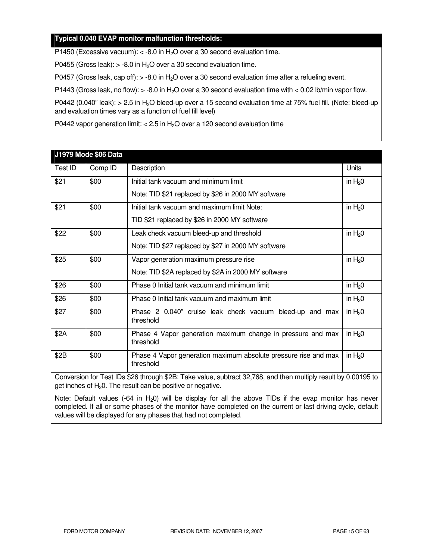### **Typical 0.040 EVAP monitor malfunction thresholds:**

P1450 (Excessive vacuum):  $<$  -8.0 in H<sub>2</sub>O over a 30 second evaluation time.

P0455 (Gross leak):  $> -8.0$  in H<sub>2</sub>O over a 30 second evaluation time.

P0457 (Gross leak, cap off):  $>$  -8.0 in H<sub>2</sub>O over a 30 second evaluation time after a refueling event.

P1443 (Gross leak, no flow):  $> -8.0$  in H<sub>2</sub>O over a 30 second evaluation time with  $< 0.02$  lb/min vapor flow.

P0442 (0.040" leak): > 2.5 in H<sub>2</sub>O bleed-up over a 15 second evaluation time at 75% fuel fill. (Note: bleed-up and evaluation times vary as a function of fuel fill level)

P0442 vapor generation limit:  $<$  2.5 in H<sub>2</sub>O over a 120 second evaluation time

|                                                                                                                                                                                  | J1979 Mode \$06 Data |                                                                              |            |
|----------------------------------------------------------------------------------------------------------------------------------------------------------------------------------|----------------------|------------------------------------------------------------------------------|------------|
| Test ID                                                                                                                                                                          | Comp ID              | Description                                                                  | Units      |
| \$21                                                                                                                                                                             | \$00                 | Initial tank vacuum and minimum limit                                        | in $H_2$ 0 |
|                                                                                                                                                                                  |                      | Note: TID \$21 replaced by \$26 in 2000 MY software                          |            |
| \$21                                                                                                                                                                             | \$00                 | Initial tank vacuum and maximum limit Note:                                  | in $H20$   |
|                                                                                                                                                                                  |                      | TID \$21 replaced by \$26 in 2000 MY software                                |            |
| \$22                                                                                                                                                                             | \$00                 | Leak check vacuum bleed-up and threshold                                     | in $H_2$ 0 |
|                                                                                                                                                                                  |                      | Note: TID \$27 replaced by \$27 in 2000 MY software                          |            |
| \$25                                                                                                                                                                             | \$00                 | Vapor generation maximum pressure rise                                       | in $H_2$ 0 |
|                                                                                                                                                                                  |                      | Note: TID \$2A replaced by \$2A in 2000 MY software                          |            |
| \$26                                                                                                                                                                             | \$00                 | Phase 0 Initial tank vacuum and minimum limit                                | in $H_2$ 0 |
| \$26                                                                                                                                                                             | \$00                 | Phase 0 Initial tank vacuum and maximum limit                                | in $H20$   |
| \$27                                                                                                                                                                             | \$00                 | Phase 2 0.040" cruise leak check vacuum bleed-up and max<br>threshold        | in $H20$   |
| \$2A                                                                                                                                                                             | \$00                 | Phase 4 Vapor generation maximum change in pressure and max<br>threshold     | in $H_2$ 0 |
| \$2B                                                                                                                                                                             | \$00                 | Phase 4 Vapor generation maximum absolute pressure rise and max<br>threshold | in $H20$   |
| Conversion for Test IDs \$26 through \$2B: Take value, subtract 32,768, and then multiply result by 0.00195 to<br>get inches of $H_2O$ . The result can be positive or negative. |                      |                                                                              |            |

Note: Default values (-64 in  $H_20$ ) will be display for all the above TIDs if the evap monitor has never completed. If all or some phases of the monitor have completed on the current or last driving cycle, default values will be displayed for any phases that had not completed.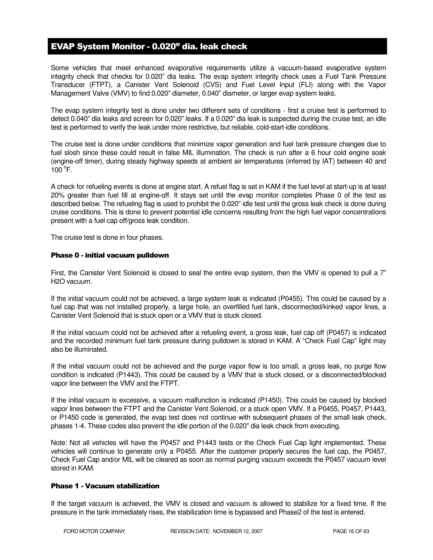# EVAP System Monitor - 0.020" dia. leak check

Some vehicles that meet enhanced evaporative requirements utilize a vacuum-based evaporative system integrity check that checks for 0.020" dia leaks. The evap system integrity check uses a Fuel Tank Pressure Transducer (FTPT), a Canister Vent Solenoid (CVS) and Fuel Level Input (FLI) along with the Vapor Management Valve (VMV) to find 0.020" diameter, 0.040" diameter, or larger evap system leaks.

The evap system integrity test is done under two different sets of conditions - first a cruise test is performed to detect 0.040" dia leaks and screen for 0.020" leaks. If a 0.020" dia leak is suspected during the cruise test, an idle test is performed to verify the leak under more restrictive, but reliable, cold-start-idle conditions.

The cruise test is done under conditions that minimize vapor generation and fuel tank pressure changes due to fuel slosh since these could result in false MIL illumination. The check is run after a 6 hour cold engine soak (engine-off timer), during steady highway speeds at ambient air temperatures (inferred by IAT) between 40 and  $100^{\circ}$ F.

A check for refueling events is done at engine start. A refuel flag is set in KAM if the fuel level at start-up is at least 20% greater than fuel fill at engine-off. It stays set until the evap monitor completes Phase 0 of the test as described below. The refueling flag is used to prohibit the 0.020" idle test until the gross leak check is done during cruise conditions. This is done to prevent potential idle concerns resulting from the high fuel vapor concentrations present with a fuel cap off/gross leak condition.

The cruise test is done in four phases.

#### Phase 0 - initial vacuum pulldown

First, the Canister Vent Solenoid is closed to seal the entire evap system, then the VMV is opened to pull a 7" H2O vacuum.

If the initial vacuum could not be achieved, a large system leak is indicated (P0455). This could be caused by a fuel cap that was not installed properly, a large hole, an overfilled fuel tank, disconnected/kinked vapor lines, a Canister Vent Solenoid that is stuck open or a VMV that is stuck closed.

If the initial vacuum could not be achieved after a refueling event, a gross leak, fuel cap off (P0457) is indicated and the recorded minimum fuel tank pressure during pulldown is stored in KAM. A "Check Fuel Cap" light may also be illuminated.

If the initial vacuum could not be achieved and the purge vapor flow is too small, a gross leak, no purge flow condition is indicated (P1443). This could be caused by a VMV that is stuck closed, or a disconnected/blocked vapor line between the VMV and the FTPT.

If the initial vacuum is excessive, a vacuum malfunction is indicated (P1450). This could be caused by blocked vapor lines between the FTPT and the Canister Vent Solenoid, or a stuck open VMV. If a P0455, P0457, P1443, or P1450 code is generated, the evap test does not continue with subsequent phases of the small leak check, phases 1-4. These codes also prevent the idle portion of the 0.020" dia leak check from executing.

Note: Not all vehicles will have the P0457 and P1443 tests or the Check Fuel Cap light implemented. These vehicles will continue to generate only a P0455. After the customer properly secures the fuel cap, the P0457, Check Fuel Cap and/or MIL will be cleared as soon as normal purging vacuum exceeds the P0457 vacuum level stored in KAM.

### Phase 1 - Vacuum stabilization

If the target vacuum is achieved, the VMV is closed and vacuum is allowed to stabilize for a fixed time. If the pressure in the tank immediately rises, the stabilization time is bypassed and Phase2 of the test is entered.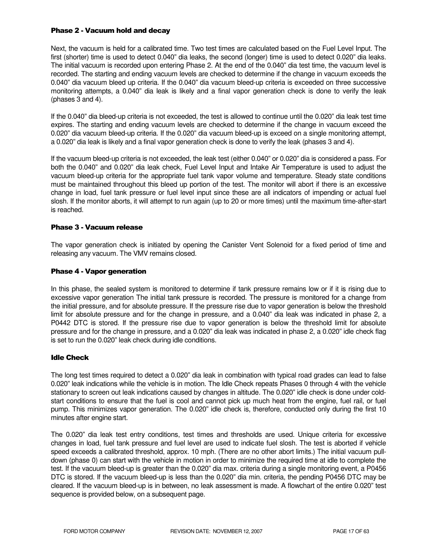### Phase 2 - Vacuum hold and decay

Next, the vacuum is held for a calibrated time. Two test times are calculated based on the Fuel Level Input. The first (shorter) time is used to detect 0.040" dia leaks, the second (longer) time is used to detect 0.020" dia leaks. The initial vacuum is recorded upon entering Phase 2. At the end of the 0.040" dia test time, the vacuum level is recorded. The starting and ending vacuum levels are checked to determine if the change in vacuum exceeds the 0.040" dia vacuum bleed up criteria. If the 0.040" dia vacuum bleed-up criteria is exceeded on three successive monitoring attempts, a 0.040" dia leak is likely and a final vapor generation check is done to verify the leak (phases 3 and 4).

If the 0.040" dia bleed-up criteria is not exceeded, the test is allowed to continue until the 0.020" dia leak test time expires. The starting and ending vacuum levels are checked to determine if the change in vacuum exceed the 0.020" dia vacuum bleed-up criteria. If the 0.020" dia vacuum bleed-up is exceed on a single monitoring attempt, a 0.020" dia leak is likely and a final vapor generation check is done to verify the leak (phases 3 and 4).

If the vacuum bleed-up criteria is not exceeded, the leak test (either 0.040" or 0.020" dia is considered a pass. For both the 0.040" and 0.020" dia leak check, Fuel Level Input and Intake Air Temperature is used to adjust the vacuum bleed-up criteria for the appropriate fuel tank vapor volume and temperature. Steady state conditions must be maintained throughout this bleed up portion of the test. The monitor will abort if there is an excessive change in load, fuel tank pressure or fuel level input since these are all indicators of impending or actual fuel slosh. If the monitor aborts, it will attempt to run again (up to 20 or more times) until the maximum time-after-start is reached.

### Phase 3 - Vacuum release

The vapor generation check is initiated by opening the Canister Vent Solenoid for a fixed period of time and releasing any vacuum. The VMV remains closed.

### Phase 4 - Vapor generation

In this phase, the sealed system is monitored to determine if tank pressure remains low or if it is rising due to excessive vapor generation The initial tank pressure is recorded. The pressure is monitored for a change from the initial pressure, and for absolute pressure. If the pressure rise due to vapor generation is below the threshold limit for absolute pressure and for the change in pressure, and a 0.040" dia leak was indicated in phase 2, a P0442 DTC is stored. If the pressure rise due to vapor generation is below the threshold limit for absolute pressure and for the change in pressure, and a 0.020" dia leak was indicated in phase 2, a 0.020" idle check flag is set to run the 0.020" leak check during idle conditions.

### Idle Check

The long test times required to detect a 0.020" dia leak in combination with typical road grades can lead to false 0.020" leak indications while the vehicle is in motion. The Idle Check repeats Phases 0 through 4 with the vehicle stationary to screen out leak indications caused by changes in altitude. The 0.020" idle check is done under coldstart conditions to ensure that the fuel is cool and cannot pick up much heat from the engine, fuel rail, or fuel pump. This minimizes vapor generation. The 0.020" idle check is, therefore, conducted only during the first 10 minutes after engine start.

The 0.020" dia leak test entry conditions, test times and thresholds are used. Unique criteria for excessive changes in load, fuel tank pressure and fuel level are used to indicate fuel slosh. The test is aborted if vehicle speed exceeds a calibrated threshold, approx. 10 mph. (There are no other abort limits.) The initial vacuum pulldown (phase 0) can start with the vehicle in motion in order to minimize the required time at idle to complete the test. If the vacuum bleed-up is greater than the 0.020" dia max. criteria during a single monitoring event, a P0456 DTC is stored. If the vacuum bleed-up is less than the 0.020" dia min. criteria, the pending P0456 DTC may be cleared. If the vacuum bleed-up is in between, no leak assessment is made. A flowchart of the entire 0.020" test sequence is provided below, on a subsequent page.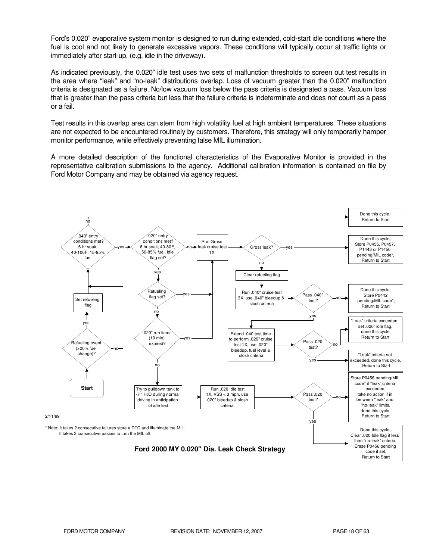Ford's 0.020" evaporative system monitor is designed to run during extended, cold-start idle conditions where the fuel is cool and not likely to generate excessive vapors. These conditions will typically occur at traffic lights or immediately after start-up, (e.g. idle in the driveway).

As indicated previously, the 0.020" idle test uses two sets of malfunction thresholds to screen out test results in the area where "leak" and "no-leak" distributions overlap. Loss of vacuum greater than the 0.020" malfunction criteria is designated as a failure. No/low vacuum loss below the pass criteria is designated a pass. Vacuum loss that is greater than the pass criteria but less that the failure criteria is indeterminate and does not count as a pass or a fail.

Test results in this overlap area can stem from high volatility fuel at high ambient temperatures. These situations are not expected to be encountered routinely by customers. Therefore, this strategy will only temporarily hamper monitor performance, while effectively preventing false MIL illumination.

A more detailed description of the functional characteristics of the Evaporative Monitor is provided in the representative calibration submissions to the agency. Additional calibration information is contained on file by Ford Motor Company and may be obtained via agency request.

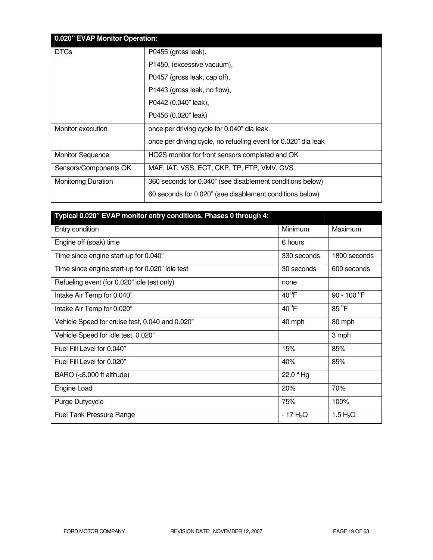| 0.020" EVAP Monitor Operation: |                                                                |  |
|--------------------------------|----------------------------------------------------------------|--|
| <b>DTCs</b>                    | P0455 (gross leak),                                            |  |
|                                | P1450, (excessive vacuum),                                     |  |
|                                | P0457 (gross leak, cap off),                                   |  |
|                                | P1443 (gross leak, no flow),                                   |  |
|                                | P0442 (0.040" leak),                                           |  |
|                                | P0456 (0.020" leak)                                            |  |
| Monitor execution              | once per driving cycle for 0.040" dia leak                     |  |
|                                | once per driving cycle, no refueling event for 0.020" dia leak |  |
| <b>Monitor Sequence</b>        | HO2S monitor for front sensors completed and OK                |  |
| Sensors/Components OK          | MAF, IAT, VSS, ECT, CKP, TP, FTP, VMV, CVS                     |  |
| <b>Monitoring Duration</b>     | 360 seconds for 0.040" (see disablement conditions below)      |  |
|                                | 60 seconds for 0.020" (see disablement conditions below)       |  |

| Typical 0.020" EVAP monitor entry conditions, Phases 0 through 4: |                |                       |
|-------------------------------------------------------------------|----------------|-----------------------|
| Entry condition                                                   | Minimum        | Maximum               |
| Engine off (soak) time                                            | 6 hours        |                       |
| Time since engine start-up for 0.040"                             | 330 seconds    | 1800 seconds          |
| Time since engine start-up for 0.020" idle test                   | 30 seconds     | 600 seconds           |
| Refueling event (for 0.020" idle test only)                       | none           |                       |
| Intake Air Temp for 0.040"                                        | $40^{\circ}$ F | 90 - 100 $^{\circ}$ F |
| Intake Air Temp for 0.020"                                        | $40^{\circ}F$  | $85^{\circ}$ F        |
| Vehicle Speed for cruise test, 0.040 and 0.020"                   | 40 mph         | 80 mph                |
| Vehicle Speed for idle test, 0.020"                               |                | 3 mph                 |
| Fuel Fill Level for 0.040"                                        | 15%            | 85%                   |
| Fuel Fill Level for 0.020"                                        | 40%            | 85%                   |
| BARO (<8,000 ft altitude)                                         | 22.0 "Hg       |                       |
| Engine Load                                                       | 20%            | 70%                   |
| Purge Dutycycle                                                   | 75%            | 100%                  |
| <b>Fuel Tank Pressure Range</b>                                   | $-17H2O$       | 1.5 $H_2O$            |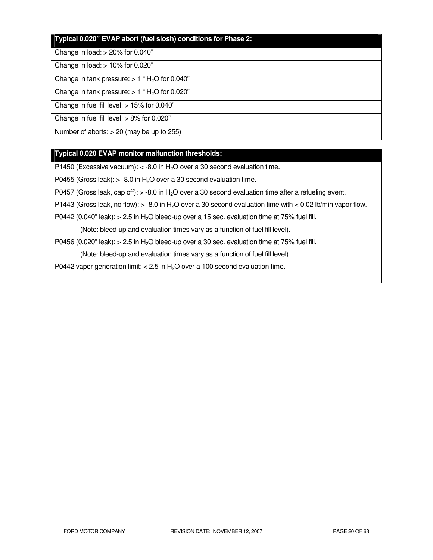# **Typical 0.020" EVAP abort (fuel slosh) conditions for Phase 2:**

#### Change in load: > 20% for 0.040"

Change in load: > 10% for 0.020"

Change in tank pressure:  $> 1$  " H<sub>2</sub>O for 0.040"

Change in tank pressure:  $> 1$  " H<sub>2</sub>O for 0.020"

Change in fuel fill level: > 15% for 0.040"

Change in fuel fill level: > 8% for 0.020"

Number of aborts: > 20 (may be up to 255)

### **Typical 0.020 EVAP monitor malfunction thresholds:**

P1450 (Excessive vacuum):  $<$  -8.0 in H<sub>2</sub>O over a 30 second evaluation time.

P0455 (Gross leak):  $> -8.0$  in H<sub>2</sub>O over a 30 second evaluation time.

P0457 (Gross leak, cap off):  $>$  -8.0 in H<sub>2</sub>O over a 30 second evaluation time after a refueling event.

P1443 (Gross leak, no flow):  $>$  -8.0 in H<sub>2</sub>O over a 30 second evaluation time with  $<$  0.02 lb/min vapor flow.

P0442 (0.040" leak):  $> 2.5$  in H<sub>2</sub>O bleed-up over a 15 sec. evaluation time at 75% fuel fill.

(Note: bleed-up and evaluation times vary as a function of fuel fill level).

P0456 (0.020" leak):  $> 2.5$  in H<sub>2</sub>O bleed-up over a 30 sec. evaluation time at 75% fuel fill.

(Note: bleed-up and evaluation times vary as a function of fuel fill level)

P0442 vapor generation limit:  $< 2.5$  in H<sub>2</sub>O over a 100 second evaluation time.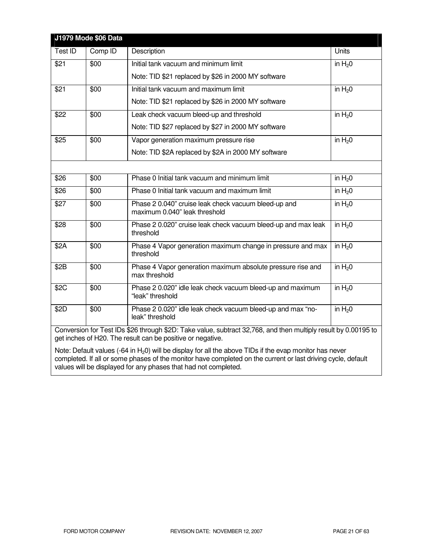|         | J1979 Mode \$06 Data |                                                                                                                                                                              |          |
|---------|----------------------|------------------------------------------------------------------------------------------------------------------------------------------------------------------------------|----------|
| Test ID | Comp ID              | Description                                                                                                                                                                  | Units    |
| \$21    | \$00                 | Initial tank vacuum and minimum limit                                                                                                                                        | in $H20$ |
|         |                      | Note: TID \$21 replaced by \$26 in 2000 MY software                                                                                                                          |          |
| \$21    | \$00                 | Initial tank vacuum and maximum limit                                                                                                                                        | in $H20$ |
|         |                      | Note: TID \$21 replaced by \$26 in 2000 MY software                                                                                                                          |          |
| \$22    | \$00                 | Leak check vacuum bleed-up and threshold                                                                                                                                     | in $H20$ |
|         |                      | Note: TID \$27 replaced by \$27 in 2000 MY software                                                                                                                          |          |
| \$25    | \$00                 | Vapor generation maximum pressure rise                                                                                                                                       | in $H20$ |
|         |                      | Note: TID \$2A replaced by \$2A in 2000 MY software                                                                                                                          |          |
|         |                      |                                                                                                                                                                              |          |
| \$26    | \$00                 | Phase 0 Initial tank vacuum and minimum limit                                                                                                                                | in $H20$ |
| \$26    | \$00                 | Phase 0 Initial tank vacuum and maximum limit                                                                                                                                | in $H20$ |
| \$27    | \$00                 | Phase 2 0.040" cruise leak check vacuum bleed-up and<br>maximum 0.040" leak threshold                                                                                        | in $H20$ |
| \$28    | \$00                 | Phase 2 0.020" cruise leak check vacuum bleed-up and max leak<br>threshold                                                                                                   | in $H20$ |
| \$2A    | \$00                 | Phase 4 Vapor generation maximum change in pressure and max<br>threshold                                                                                                     | in $H20$ |
| \$2B    | \$00                 | Phase 4 Vapor generation maximum absolute pressure rise and<br>max threshold                                                                                                 | in $H20$ |
| \$2C    | \$00                 | Phase 2 0.020" idle leak check vacuum bleed-up and maximum<br>"leak" threshold                                                                                               | in $H20$ |
| \$2D    | \$00                 | Phase 2 0.020" idle leak check vacuum bleed-up and max "no-<br>leak" threshold                                                                                               | in $H20$ |
|         |                      | Conversion for Test IDs \$26 through \$2D: Take value, subtract 32,768, and then multiply result by 0.00195 to<br>get inches of H20. The result can be positive or negative. |          |

Note: Default values (-64 in H<sub>2</sub>0) will be display for all the above TIDs if the evap monitor has never completed. If all or some phases of the monitor have completed on the current or last driving cycle, default values will be displayed for any phases that had not completed.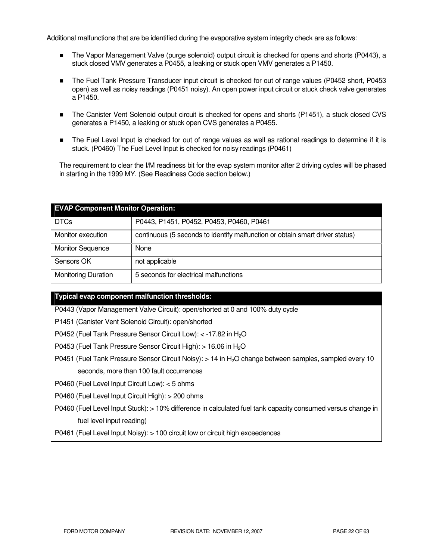Additional malfunctions that are be identified during the evaporative system integrity check are as follows:

- The Vapor Management Valve (purge solenoid) output circuit is checked for opens and shorts (P0443), a stuck closed VMV generates a P0455, a leaking or stuck open VMV generates a P1450.
- The Fuel Tank Pressure Transducer input circuit is checked for out of range values (P0452 short, P0453 open) as well as noisy readings (P0451 noisy). An open power input circuit or stuck check valve generates a P1450.
- The Canister Vent Solenoid output circuit is checked for opens and shorts (P1451), a stuck closed CVS generates a P1450, a leaking or stuck open CVS generates a P0455.
- The Fuel Level Input is checked for out of range values as well as rational readings to determine if it is stuck. (P0460) The Fuel Level Input is checked for noisy readings (P0461)

The requirement to clear the I/M readiness bit for the evap system monitor after 2 driving cycles will be phased in starting in the 1999 MY. (See Readiness Code section below.)

| <b>EVAP Component Monitor Operation:</b> |                                                                              |  |
|------------------------------------------|------------------------------------------------------------------------------|--|
| <b>DTCs</b>                              | P0443, P1451, P0452, P0453, P0460, P0461                                     |  |
| Monitor execution                        | continuous (5 seconds to identify malfunction or obtain smart driver status) |  |
| <b>Monitor Sequence</b>                  | None                                                                         |  |
| Sensors OK                               | not applicable                                                               |  |
| <b>Monitoring Duration</b>               | 5 seconds for electrical malfunctions                                        |  |

### **Typical evap component malfunction thresholds:**

P0443 (Vapor Management Valve Circuit): open/shorted at 0 and 100% duty cycle

P1451 (Canister Vent Solenoid Circuit): open/shorted

P0452 (Fuel Tank Pressure Sensor Circuit Low): < -17.82 in H<sub>2</sub>O

P0453 (Fuel Tank Pressure Sensor Circuit High): > 16.06 in H<sub>2</sub>O

P0451 (Fuel Tank Pressure Sensor Circuit Noisy): > 14 in H2O change between samples, sampled every 10 seconds, more than 100 fault occurrences

P0460 (Fuel Level Input Circuit Low): < 5 ohms

P0460 (Fuel Level Input Circuit High): > 200 ohms

P0460 (Fuel Level Input Stuck): > 10% difference in calculated fuel tank capacity consumed versus change in fuel level input reading)

P0461 (Fuel Level Input Noisy): > 100 circuit low or circuit high exceedences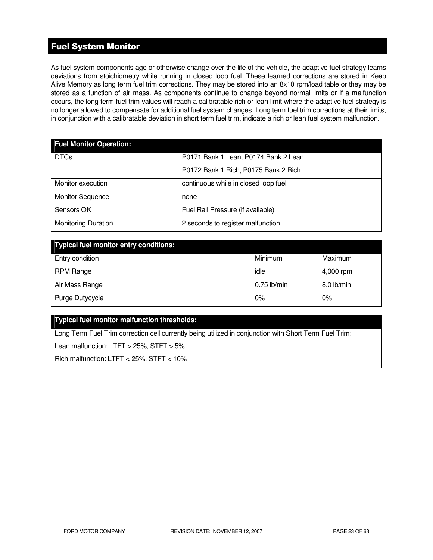# Fuel System Monitor

As fuel system components age or otherwise change over the life of the vehicle, the adaptive fuel strategy learns deviations from stoichiometry while running in closed loop fuel. These learned corrections are stored in Keep Alive Memory as long term fuel trim corrections. They may be stored into an 8x10 rpm/load table or they may be stored as a function of air mass. As components continue to change beyond normal limits or if a malfunction occurs, the long term fuel trim values will reach a calibratable rich or lean limit where the adaptive fuel strategy is no longer allowed to compensate for additional fuel system changes. Long term fuel trim corrections at their limits, in conjunction with a calibratable deviation in short term fuel trim, indicate a rich or lean fuel system malfunction.

| <b>Fuel Monitor Operation:</b> |                                      |  |  |
|--------------------------------|--------------------------------------|--|--|
| <b>DTCs</b>                    | P0171 Bank 1 Lean, P0174 Bank 2 Lean |  |  |
|                                | P0172 Bank 1 Rich, P0175 Bank 2 Rich |  |  |
| Monitor execution              | continuous while in closed loop fuel |  |  |
| <b>Monitor Sequence</b>        | none                                 |  |  |
| Sensors OK                     | Fuel Rail Pressure (if available)    |  |  |
| <b>Monitoring Duration</b>     | 2 seconds to register malfunction    |  |  |

| Typical fuel monitor entry conditions: |               |            |  |
|----------------------------------------|---------------|------------|--|
| Entry condition                        | Minimum       | Maximum    |  |
| RPM Range                              | idle          | 4,000 rpm  |  |
| Air Mass Range                         | $0.75$ lb/min | 8.0 lb/min |  |
| Purge Dutycycle                        | 0%            | $0\%$      |  |

### **Typical fuel monitor malfunction thresholds:**

Long Term Fuel Trim correction cell currently being utilized in conjunction with Short Term Fuel Trim:

Lean malfunction: LTFT > 25%, STFT > 5%

Rich malfunction: LTFT < 25%, STFT < 10%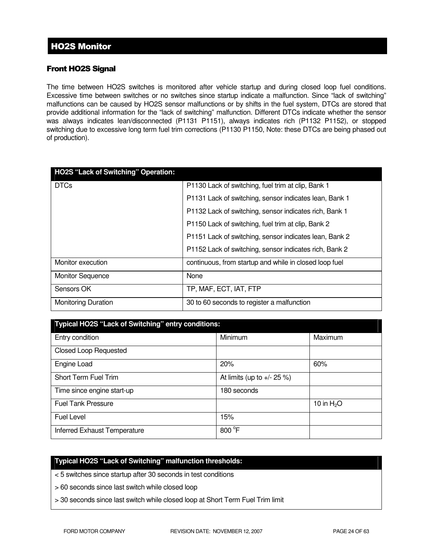# Front HO2S Signal

The time between HO2S switches is monitored after vehicle startup and during closed loop fuel conditions. Excessive time between switches or no switches since startup indicate a malfunction. Since "lack of switching" malfunctions can be caused by HO2S sensor malfunctions or by shifts in the fuel system, DTCs are stored that provide additional information for the "lack of switching" malfunction. Different DTCs indicate whether the sensor was always indicates lean/disconnected (P1131 P1151), always indicates rich (P1132 P1152), or stopped switching due to excessive long term fuel trim corrections (P1130 P1150, Note: these DTCs are being phased out of production).

| HO2S "Lack of Switching" Operation: |                                                        |
|-------------------------------------|--------------------------------------------------------|
| <b>DTCs</b>                         | P1130 Lack of switching, fuel trim at clip, Bank 1     |
|                                     | P1131 Lack of switching, sensor indicates lean, Bank 1 |
|                                     | P1132 Lack of switching, sensor indicates rich, Bank 1 |
|                                     | P1150 Lack of switching, fuel trim at clip, Bank 2     |
|                                     | P1151 Lack of switching, sensor indicates lean, Bank 2 |
|                                     | P1152 Lack of switching, sensor indicates rich, Bank 2 |
| Monitor execution                   | continuous, from startup and while in closed loop fuel |
| <b>Monitor Sequence</b>             | None                                                   |
| Sensors OK                          | TP, MAF, ECT, IAT, FTP                                 |
| <b>Monitoring Duration</b>          | 30 to 60 seconds to register a malfunction             |

| Typical HO2S "Lack of Switching" entry conditions: |                               |              |  |
|----------------------------------------------------|-------------------------------|--------------|--|
| Entry condition                                    | <b>Minimum</b>                | Maximum      |  |
| <b>Closed Loop Requested</b>                       |                               |              |  |
| Engine Load                                        | 20%                           | 60%          |  |
| Short Term Fuel Trim                               | At limits (up to $+/- 25 %$ ) |              |  |
| Time since engine start-up                         | 180 seconds                   |              |  |
| <b>Fuel Tank Pressure</b>                          |                               | 10 in $H_2O$ |  |
| <b>Fuel Level</b>                                  | 15%                           |              |  |
| Inferred Exhaust Temperature                       | 800 °F                        |              |  |

# **Typical HO2S "Lack of Switching" malfunction thresholds:**

- < 5 switches since startup after 30 seconds in test conditions
- > 60 seconds since last switch while closed loop
- > 30 seconds since last switch while closed loop at Short Term Fuel Trim limit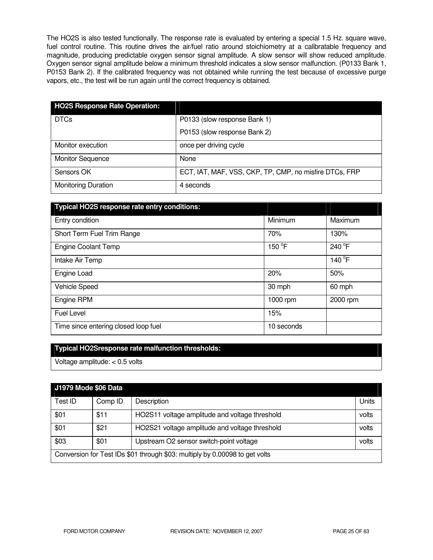The HO2S is also tested functionally. The response rate is evaluated by entering a special 1.5 Hz. square wave, fuel control routine. This routine drives the air/fuel ratio around stoichiometry at a calibratable frequency and magnitude, producing predictable oxygen sensor signal amplitude. A slow sensor will show reduced amplitude. Oxygen sensor signal amplitude below a minimum threshold indicates a slow sensor malfunction. (P0133 Bank 1, P0153 Bank 2). If the calibrated frequency was not obtained while running the test because of excessive purge vapors, etc., the test will be run again until the correct frequency is obtained.

| <b>HO2S Response Rate Operation:</b> |                                                        |
|--------------------------------------|--------------------------------------------------------|
| <b>DTCs</b>                          | P0133 (slow response Bank 1)                           |
|                                      | P0153 (slow response Bank 2)                           |
| Monitor execution                    | once per driving cycle                                 |
| <b>Monitor Sequence</b>              | None                                                   |
| Sensors OK                           | ECT, IAT, MAF, VSS, CKP, TP, CMP, no misfire DTCs, FRP |
| <b>Monitoring Duration</b>           | 4 seconds                                              |

| Typical HO2S response rate entry conditions: |            |                 |
|----------------------------------------------|------------|-----------------|
| Entry condition                              | Minimum    | Maximum         |
| Short Term Fuel Trim Range                   | 70%        | 130%            |
| <b>Engine Coolant Temp</b>                   | 150 °F     | 240 °F          |
| Intake Air Temp                              |            | 140 $\degree$ F |
| Engine Load                                  | 20%        | 50%             |
| Vehicle Speed                                | 30 mph     | 60 mph          |
| Engine RPM                                   | 1000 rpm   | 2000 rpm        |
| <b>Fuel Level</b>                            | 15%        |                 |
| Time since entering closed loop fuel         | 10 seconds |                 |

### **Typical HO2Sresponse rate malfunction thresholds:**

Voltage amplitude: < 0.5 volts

| J1979 Mode \$06 Data |         |                                                                             |       |
|----------------------|---------|-----------------------------------------------------------------------------|-------|
| Test ID              | Comp ID | Description                                                                 | Units |
| \$01                 | \$11    | HO2S11 voltage amplitude and voltage threshold                              | volts |
| \$01                 | \$21    | HO2S21 voltage amplitude and voltage threshold                              | volts |
| \$03                 | \$01    | Upstream O2 sensor switch-point voltage                                     | volts |
|                      |         | Conversion for Test IDs \$01 through \$03: multiply by 0.00098 to get volts |       |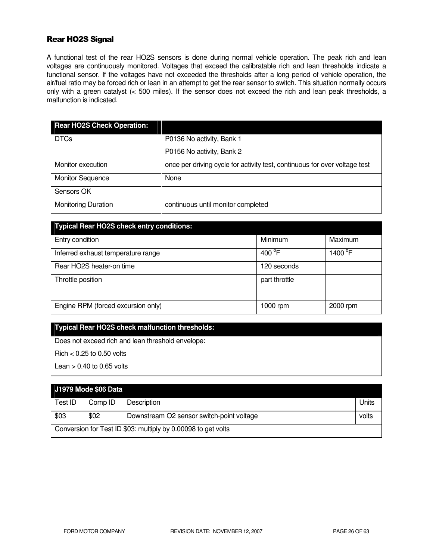# Rear HO2S Signal

A functional test of the rear HO2S sensors is done during normal vehicle operation. The peak rich and lean voltages are continuously monitored. Voltages that exceed the calibratable rich and lean thresholds indicate a functional sensor. If the voltages have not exceeded the thresholds after a long period of vehicle operation, the air/fuel ratio may be forced rich or lean in an attempt to get the rear sensor to switch. This situation normally occurs only with a green catalyst (< 500 miles). If the sensor does not exceed the rich and lean peak thresholds, a malfunction is indicated.

| <b>Rear HO2S Check Operation:</b> |                                                                            |
|-----------------------------------|----------------------------------------------------------------------------|
| <b>DTCs</b>                       | P0136 No activity, Bank 1                                                  |
|                                   | P0156 No activity, Bank 2                                                  |
| Monitor execution                 | once per driving cycle for activity test, continuous for over voltage test |
| <b>Monitor Sequence</b>           | None                                                                       |
| Sensors OK                        |                                                                            |
| <b>Monitoring Duration</b>        | continuous until monitor completed                                         |

| <b>Typical Rear HO2S check entry conditions:</b> |                  |                   |
|--------------------------------------------------|------------------|-------------------|
| Entry condition                                  | Minimum          | Maximum           |
| Inferred exhaust temperature range               | 400 $^{\circ}$ F | 1400 $^{\circ}$ F |
| Rear HO2S heater-on time                         | 120 seconds      |                   |
| Throttle position                                | part throttle    |                   |
|                                                  |                  |                   |
| Engine RPM (forced excursion only)               | 1000 rpm         | 2000 rpm          |

# **Typical Rear HO2S check malfunction thresholds:**

Does not exceed rich and lean threshold envelope:

 $Richard < 0.25$  to 0.50 volts

Lean  $> 0.40$  to 0.65 volts

# **J1979 Mode \$06 Data**

| Test ID                                                       | Comp ID | Description                               | Units |
|---------------------------------------------------------------|---------|-------------------------------------------|-------|
|                                                               |         |                                           |       |
| \$03                                                          | \$02    | Downstream O2 sensor switch-point voltage | volts |
| Conversion for Test ID \$03: multiply by 0.00098 to get volts |         |                                           |       |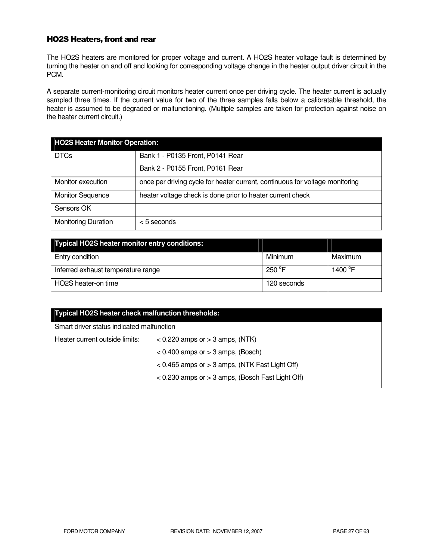### HO2S Heaters, front and rear

The HO2S heaters are monitored for proper voltage and current. A HO2S heater voltage fault is determined by turning the heater on and off and looking for corresponding voltage change in the heater output driver circuit in the PCM.

A separate current-monitoring circuit monitors heater current once per driving cycle. The heater current is actually sampled three times. If the current value for two of the three samples falls below a calibratable threshold, the heater is assumed to be degraded or malfunctioning. (Multiple samples are taken for protection against noise on the heater current circuit.)

| <b>HO2S Heater Monitor Operation:</b> |                                                                              |  |
|---------------------------------------|------------------------------------------------------------------------------|--|
| <b>DTCs</b>                           | Bank 1 - P0135 Front, P0141 Rear                                             |  |
|                                       | Bank 2 - P0155 Front, P0161 Rear                                             |  |
| Monitor execution                     | once per driving cycle for heater current, continuous for voltage monitoring |  |
| <b>Monitor Sequence</b>               | heater voltage check is done prior to heater current check                   |  |
| Sensors OK                            |                                                                              |  |
| <b>Monitoring Duration</b>            | $<$ 5 seconds                                                                |  |

| Typical HO2S heater monitor entry conditions: |                  |                  |
|-----------------------------------------------|------------------|------------------|
| Entry condition                               | Minimum          | Maximum          |
| Inferred exhaust temperature range            | 250 $^{\circ}$ F | 1400 $\degree$ F |
| HO2S heater-on time                           | 120 seconds      |                  |

| Typical HO2S heater check malfunction thresholds:    |  |  |
|------------------------------------------------------|--|--|
| Smart driver status indicated malfunction            |  |  |
| $<$ 0.220 amps or $>$ 3 amps, (NTK)                  |  |  |
| $< 0.400$ amps or $> 3$ amps, (Bosch)                |  |  |
| $< 0.465$ amps or $> 3$ amps, (NTK Fast Light Off)   |  |  |
| $<$ 0.230 amps or $>$ 3 amps, (Bosch Fast Light Off) |  |  |
|                                                      |  |  |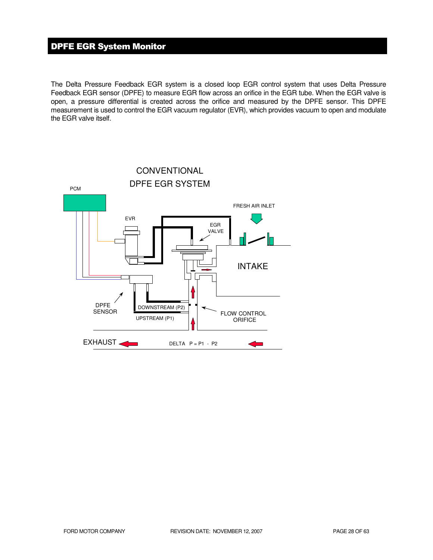# DPFE EGR System Monitor

The Delta Pressure Feedback EGR system is a closed loop EGR control system that uses Delta Pressure Feedback EGR sensor (DPFE) to measure EGR flow across an orifice in the EGR tube. When the EGR valve is open, a pressure differential is created across the orifice and measured by the DPFE sensor. This DPFE measurement is used to control the EGR vacuum regulator (EVR), which provides vacuum to open and modulate the EGR valve itself.

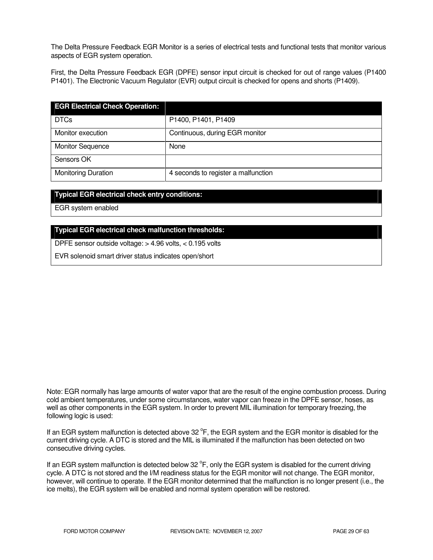The Delta Pressure Feedback EGR Monitor is a series of electrical tests and functional tests that monitor various aspects of EGR system operation.

First, the Delta Pressure Feedback EGR (DPFE) sensor input circuit is checked for out of range values (P1400 P1401). The Electronic Vacuum Regulator (EVR) output circuit is checked for opens and shorts (P1409).

| <b>EGR Electrical Check Operation:</b> |                                     |
|----------------------------------------|-------------------------------------|
| <b>DTCs</b>                            | P1400, P1401, P1409                 |
| Monitor execution                      | Continuous, during EGR monitor      |
| <b>Monitor Sequence</b>                | None                                |
| Sensors OK                             |                                     |
| <b>Monitoring Duration</b>             | 4 seconds to register a malfunction |

### **Typical EGR electrical check entry conditions:**

EGR system enabled

### **Typical EGR electrical check malfunction thresholds:**

DPFE sensor outside voltage: > 4.96 volts, < 0.195 volts

EVR solenoid smart driver status indicates open/short

Note: EGR normally has large amounts of water vapor that are the result of the engine combustion process. During cold ambient temperatures, under some circumstances, water vapor can freeze in the DPFE sensor, hoses, as well as other components in the EGR system. In order to prevent MIL illumination for temporary freezing, the following logic is used:

If an EGR system malfunction is detected above 32 °F, the EGR system and the EGR monitor is disabled for the current driving cycle. A DTC is stored and the MIL is illuminated if the malfunction has been detected on two consecutive driving cycles.

If an EGR system malfunction is detected below 32  $\degree$ F, only the EGR system is disabled for the current driving cycle. A DTC is not stored and the I/M readiness status for the EGR monitor will not change. The EGR monitor, however, will continue to operate. If the EGR monitor determined that the malfunction is no longer present (i.e., the ice melts), the EGR system will be enabled and normal system operation will be restored.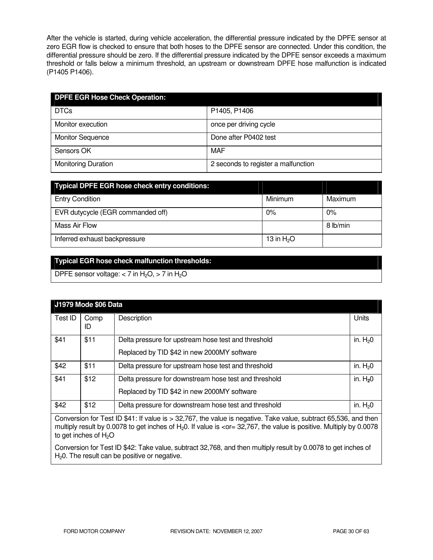After the vehicle is started, during vehicle acceleration, the differential pressure indicated by the DPFE sensor at zero EGR flow is checked to ensure that both hoses to the DPFE sensor are connected. Under this condition, the differential pressure should be zero. If the differential pressure indicated by the DPFE sensor exceeds a maximum threshold or falls below a minimum threshold, an upstream or downstream DPFE hose malfunction is indicated (P1405 P1406).

| <b>DPFE EGR Hose Check Operation:</b> |                                     |
|---------------------------------------|-------------------------------------|
| <b>DTCs</b>                           | P1405, P1406                        |
| Monitor execution                     | once per driving cycle              |
| <b>Monitor Sequence</b>               | Done after P0402 test               |
| Sensors OK                            | MAF                                 |
| <b>Monitoring Duration</b>            | 2 seconds to register a malfunction |

| <b>Typical DPFE EGR hose check entry conditions:</b> |              |          |
|------------------------------------------------------|--------------|----------|
| <b>Entry Condition</b>                               | Minimum      | Maximum  |
| EVR dutycycle (EGR commanded off)                    | 0%           | $0\%$    |
| Mass Air Flow                                        |              | 8 lb/min |
| Inferred exhaust backpressure                        | 13 in $H_2O$ |          |

# **Typical EGR hose check malfunction thresholds:**

DPFE sensor voltage:  $<$  7 in H<sub>2</sub>O,  $>$  7 in H<sub>2</sub>O

|         | J1979 Mode \$06 Data |                                                                                                      |           |
|---------|----------------------|------------------------------------------------------------------------------------------------------|-----------|
| Test ID | Comp<br>ID           | Description                                                                                          | Units     |
| \$41    | \$11                 | Delta pressure for upstream hose test and threshold<br>Replaced by TID \$42 in new 2000MY software   | in. $H20$ |
| \$42    | \$11                 | Delta pressure for upstream hose test and threshold                                                  | in. $H20$ |
| \$41    | \$12                 | Delta pressure for downstream hose test and threshold<br>Replaced by TID \$42 in new 2000MY software | in. $H20$ |
| \$42    | \$12                 | Delta pressure for downstream hose test and threshold                                                | in. $H20$ |

Conversion for Test ID \$41: If value is > 32,767, the value is negative. Take value, subtract 65,536, and then multiply result by 0.0078 to get inches of H<sub>2</sub>0. If value is <or= 32,767, the value is positive. Multiply by 0.0078 to get inches of  $H<sub>2</sub>O$ 

Conversion for Test ID \$42: Take value, subtract 32,768, and then multiply result by 0.0078 to get inches of  $H<sub>2</sub>0$ . The result can be positive or negative.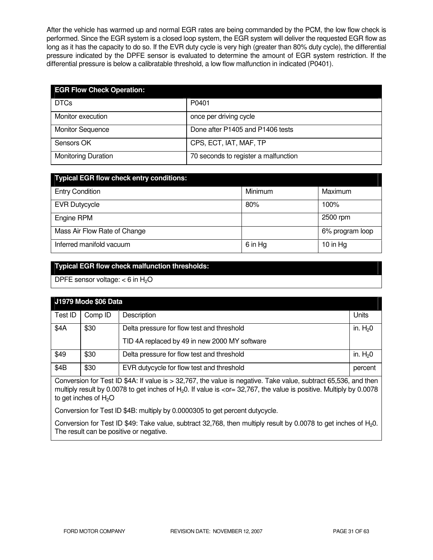After the vehicle has warmed up and normal EGR rates are being commanded by the PCM, the low flow check is performed. Since the EGR system is a closed loop system, the EGR system will deliver the requested EGR flow as long as it has the capacity to do so. If the EVR duty cycle is very high (greater than 80% duty cycle), the differential pressure indicated by the DPFE sensor is evaluated to determine the amount of EGR system restriction. If the differential pressure is below a calibratable threshold, a low flow malfunction in indicated (P0401).

| <b>EGR Flow Check Operation:</b> |                                      |
|----------------------------------|--------------------------------------|
| <b>DTCs</b>                      | P0401                                |
| Monitor execution                | once per driving cycle               |
| <b>Monitor Sequence</b>          | Done after P1405 and P1406 tests     |
| Sensors OK                       | CPS, ECT, IAT, MAF, TP               |
| <b>Monitoring Duration</b>       | 70 seconds to register a malfunction |

| <b>Typical EGR flow check entry conditions:</b> |         |                 |
|-------------------------------------------------|---------|-----------------|
| <b>Entry Condition</b>                          | Minimum | Maximum         |
| <b>EVR Dutycycle</b>                            | 80%     | 100%            |
| Engine RPM                                      |         | 2500 rpm        |
| Mass Air Flow Rate of Change                    |         | 6% program loop |
| Inferred manifold vacuum                        | 6 in Hg | 10 in Hg        |

### **Typical EGR flow check malfunction thresholds:**

DPFE sensor voltage:  $<$  6 in H<sub>2</sub>O

| J1979 Mode \$06 Data |         |                                               |           |
|----------------------|---------|-----------------------------------------------|-----------|
| Test ID              | Comp ID | Description                                   | Units     |
| \$4A                 | \$30    | Delta pressure for flow test and threshold    | in. $H20$ |
|                      |         | TID 4A replaced by 49 in new 2000 MY software |           |
| \$49                 | \$30    | Delta pressure for flow test and threshold    | in. $H20$ |
| \$4B                 | \$30    | EVR dutycycle for flow test and threshold     | percent   |

Conversion for Test ID \$4A: If value is > 32,767, the value is negative. Take value, subtract 65,536, and then multiply result by 0.0078 to get inches of  $H<sub>2</sub>0$ . If value is  $<$ or= 32,767, the value is positive. Multiply by 0.0078 to get inches of  $H_2O$ 

Conversion for Test ID \$4B: multiply by 0.0000305 to get percent dutycycle.

Conversion for Test ID \$49: Take value, subtract 32,768, then multiply result by 0.0078 to get inches of H<sub>2</sub>0. The result can be positive or negative.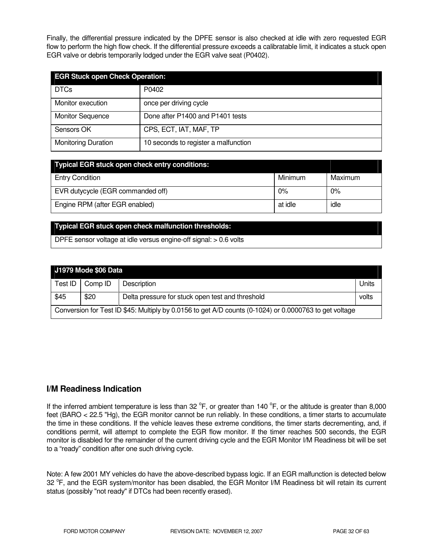Finally, the differential pressure indicated by the DPFE sensor is also checked at idle with zero requested EGR flow to perform the high flow check. If the differential pressure exceeds a calibratable limit, it indicates a stuck open EGR valve or debris temporarily lodged under the EGR valve seat (P0402).

| <b>EGR Stuck open Check Operation:</b> |                                      |  |
|----------------------------------------|--------------------------------------|--|
| <b>DTCs</b>                            | P0402                                |  |
| Monitor execution                      | once per driving cycle               |  |
| <b>Monitor Sequence</b>                | Done after P1400 and P1401 tests     |  |
| Sensors OK                             | CPS, ECT, IAT, MAF, TP               |  |
| <b>Monitoring Duration</b>             | 10 seconds to register a malfunction |  |

| <b>Typical EGR stuck open check entry conditions:</b> |         |         |
|-------------------------------------------------------|---------|---------|
| <b>Entry Condition</b>                                | Minimum | Maximum |
| EVR dutycycle (EGR commanded off)                     | 0%      | 0%      |
| Engine RPM (after EGR enabled)                        | at idle | idle    |

### **Typical EGR stuck open check malfunction thresholds:**

DPFE sensor voltage at idle versus engine-off signal: > 0.6 volts

| J1979 Mode \$06 Data                                                                                   |         |                                                  |       |
|--------------------------------------------------------------------------------------------------------|---------|--------------------------------------------------|-------|
| Test ID                                                                                                | Comp ID | <b>Description</b>                               | Units |
| \$45                                                                                                   | \$20    | Delta pressure for stuck open test and threshold | volts |
| Conversion for Test ID \$45: Multiply by 0.0156 to get A/D counts (0-1024) or 0.0000763 to get voltage |         |                                                  |       |

# **I/M Readiness Indication**

If the inferred ambient temperature is less than 32  $^{\circ}$ F, or greater than 140  $^{\circ}$ F, or the altitude is greater than 8,000 feet (BARO < 22.5 "Hg), the EGR monitor cannot be run reliably. In these conditions, a timer starts to accumulate the time in these conditions. If the vehicle leaves these extreme conditions, the timer starts decrementing, and, if conditions permit, will attempt to complete the EGR flow monitor. If the timer reaches 500 seconds, the EGR monitor is disabled for the remainder of the current driving cycle and the EGR Monitor I/M Readiness bit will be set to a "ready" condition after one such driving cycle.

Note: A few 2001 MY vehicles do have the above-described bypass logic. If an EGR malfunction is detected below 32 <sup>o</sup>F, and the EGR system/monitor has been disabled, the EGR Monitor I/M Readiness bit will retain its current status (possibly "not ready" if DTCs had been recently erased).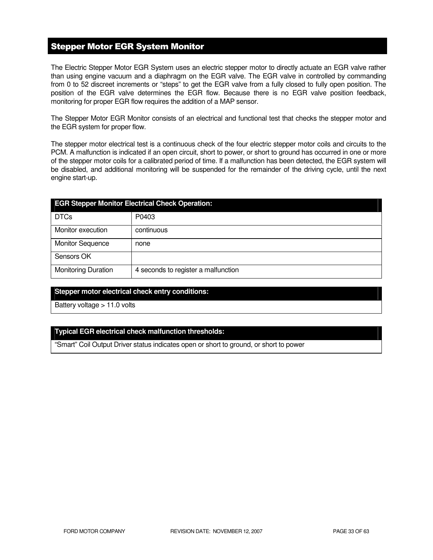# Stepper Motor EGR System Monitor

The Electric Stepper Motor EGR System uses an electric stepper motor to directly actuate an EGR valve rather than using engine vacuum and a diaphragm on the EGR valve. The EGR valve in controlled by commanding from 0 to 52 discreet increments or "steps" to get the EGR valve from a fully closed to fully open position. The position of the EGR valve determines the EGR flow. Because there is no EGR valve position feedback, monitoring for proper EGR flow requires the addition of a MAP sensor.

The Stepper Motor EGR Monitor consists of an electrical and functional test that checks the stepper motor and the EGR system for proper flow.

The stepper motor electrical test is a continuous check of the four electric stepper motor coils and circuits to the PCM. A malfunction is indicated if an open circuit, short to power, or short to ground has occurred in one or more of the stepper motor coils for a calibrated period of time. If a malfunction has been detected, the EGR system will be disabled, and additional monitoring will be suspended for the remainder of the driving cycle, until the next engine start-up.

| <b>EGR Stepper Monitor Electrical Check Operation:</b> |                                     |  |
|--------------------------------------------------------|-------------------------------------|--|
| <b>DTCs</b>                                            | P0403                               |  |
| Monitor execution                                      | continuous                          |  |
| <b>Monitor Sequence</b>                                | none                                |  |
| Sensors OK                                             |                                     |  |
| <b>Monitoring Duration</b>                             | 4 seconds to register a malfunction |  |

### **Stepper motor electrical check entry conditions:**

Battery voltage > 11.0 volts

### **Typical EGR electrical check malfunction thresholds:**

"Smart" Coil Output Driver status indicates open or short to ground, or short to power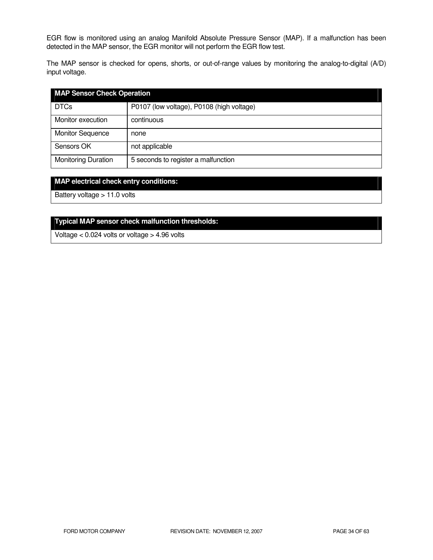EGR flow is monitored using an analog Manifold Absolute Pressure Sensor (MAP). If a malfunction has been detected in the MAP sensor, the EGR monitor will not perform the EGR flow test.

The MAP sensor is checked for opens, shorts, or out-of-range values by monitoring the analog-to-digital (A/D) input voltage.

| <b>MAP Sensor Check Operation</b> |                                           |
|-----------------------------------|-------------------------------------------|
| <b>DTCs</b>                       | P0107 (low voltage), P0108 (high voltage) |
| Monitor execution                 | continuous                                |
| <b>Monitor Sequence</b>           | none                                      |
| Sensors OK                        | not applicable                            |
| <b>Monitoring Duration</b>        | 5 seconds to register a malfunction       |

### **MAP electrical check entry conditions:**

Battery voltage > 11.0 volts

# **Typical MAP sensor check malfunction thresholds:**

Voltage < 0.024 volts or voltage > 4.96 volts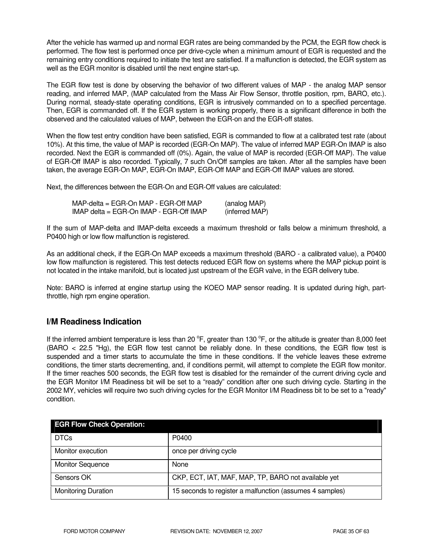After the vehicle has warmed up and normal EGR rates are being commanded by the PCM, the EGR flow check is performed. The flow test is performed once per drive-cycle when a minimum amount of EGR is requested and the remaining entry conditions required to initiate the test are satisfied. If a malfunction is detected, the EGR system as well as the EGR monitor is disabled until the next engine start-up.

The EGR flow test is done by observing the behavior of two different values of MAP - the analog MAP sensor reading, and inferred MAP, (MAP calculated from the Mass Air Flow Sensor, throttle position, rpm, BARO, etc.). During normal, steady-state operating conditions, EGR is intrusively commanded on to a specified percentage. Then, EGR is commanded off. If the EGR system is working properly, there is a significant difference in both the observed and the calculated values of MAP, between the EGR-on and the EGR-off states.

When the flow test entry condition have been satisfied, EGR is commanded to flow at a calibrated test rate (about 10%). At this time, the value of MAP is recorded (EGR-On MAP). The value of inferred MAP EGR-On IMAP is also recorded. Next the EGR is commanded off (0%). Again, the value of MAP is recorded (EGR-Off MAP). The value of EGR-Off IMAP is also recorded. Typically, 7 such On/Off samples are taken. After all the samples have been taken, the average EGR-On MAP, EGR-On IMAP, EGR-Off MAP and EGR-Off IMAP values are stored.

Next, the differences between the EGR-On and EGR-Off values are calculated:

| MAP-delta = EGR-On MAP - EGR-Off MAP_   | (analog MAP)   |  |
|-----------------------------------------|----------------|--|
| IMAP delta = EGR-On IMAP - EGR-Off IMAP | (inferred MAP) |  |

If the sum of MAP-delta and IMAP-delta exceeds a maximum threshold or falls below a minimum threshold, a P0400 high or low flow malfunction is registered.

As an additional check, if the EGR-On MAP exceeds a maximum threshold (BARO - a calibrated value), a P0400 low flow malfunction is registered. This test detects reduced EGR flow on systems where the MAP pickup point is not located in the intake manifold, but is located just upstream of the EGR valve, in the EGR delivery tube.

Note: BARO is inferred at engine startup using the KOEO MAP sensor reading. It is updated during high, partthrottle, high rpm engine operation.

# **I/M Readiness Indication**

If the inferred ambient temperature is less than 20  $^{\circ}$ F, greater than 130  $^{\circ}$ F, or the altitude is greater than 8,000 feet (BARO < 22.5 "Hg), the EGR flow test cannot be reliably done. In these conditions, the EGR flow test is suspended and a timer starts to accumulate the time in these conditions. If the vehicle leaves these extreme conditions, the timer starts decrementing, and, if conditions permit, will attempt to complete the EGR flow monitor. If the timer reaches 500 seconds, the EGR flow test is disabled for the remainder of the current driving cycle and the EGR Monitor I/M Readiness bit will be set to a "ready" condition after one such driving cycle. Starting in the 2002 MY, vehicles will require two such driving cycles for the EGR Monitor I/M Readiness bit to be set to a "ready" condition.

| <b>EGR Flow Check Operation:</b> |                                                          |
|----------------------------------|----------------------------------------------------------|
| <b>DTCs</b>                      | P0400                                                    |
| Monitor execution                | once per driving cycle                                   |
| <b>Monitor Sequence</b>          | None                                                     |
| Sensors OK                       | CKP, ECT, IAT, MAF, MAP, TP, BARO not available yet      |
| <b>Monitoring Duration</b>       | 15 seconds to register a malfunction (assumes 4 samples) |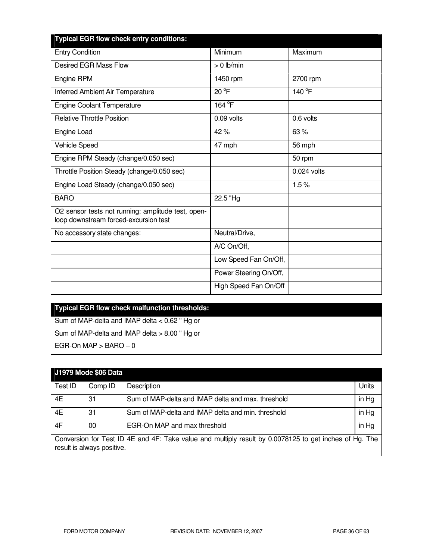| <b>Typical EGR flow check entry conditions:</b>                                             |                        |             |
|---------------------------------------------------------------------------------------------|------------------------|-------------|
| <b>Entry Condition</b>                                                                      | Minimum                | Maximum     |
| <b>Desired EGR Mass Flow</b>                                                                | $> 0$ lb/min           |             |
| Engine RPM                                                                                  | 1450 rpm               | 2700 rpm    |
| Inferred Ambient Air Temperature                                                            | $20^{\circ}$ F         | 140 °F      |
| <b>Engine Coolant Temperature</b>                                                           | 164 °F                 |             |
| <b>Relative Throttle Position</b>                                                           | 0.09 volts             | 0.6 volts   |
| Engine Load                                                                                 | 42%                    | 63%         |
| Vehicle Speed                                                                               | 47 mph                 | 56 mph      |
| Engine RPM Steady (change/0.050 sec)                                                        |                        | 50 rpm      |
| Throttle Position Steady (change/0.050 sec)                                                 |                        | 0.024 volts |
| Engine Load Steady (change/0.050 sec)                                                       |                        | 1.5%        |
| <b>BARO</b>                                                                                 | 22.5 "Hg               |             |
| O2 sensor tests not running: amplitude test, open-<br>loop downstream forced-excursion test |                        |             |
| No accessory state changes:                                                                 | Neutral/Drive,         |             |
|                                                                                             | A/C On/Off,            |             |
|                                                                                             | Low Speed Fan On/Off,  |             |
|                                                                                             | Power Steering On/Off, |             |
|                                                                                             | High Speed Fan On/Off  |             |

# **Typical EGR flow check malfunction thresholds:**  Sum of MAP-delta and IMAP delta < 0.62 " Hg or

Sum of MAP-delta and IMAP delta > 8.00 " Hg or  $EGR$ -On MAP  $>$  BARO  $-0$ 

|                                                                                                                                      | J1979 Mode \$06 Data |                                                    |       |
|--------------------------------------------------------------------------------------------------------------------------------------|----------------------|----------------------------------------------------|-------|
| Test ID                                                                                                                              | Comp ID              | Description                                        | Units |
| 4E                                                                                                                                   | 31                   | Sum of MAP-delta and IMAP delta and max. threshold | in Hg |
| 4E                                                                                                                                   | 31                   | Sum of MAP-delta and IMAP delta and min. threshold | in Hg |
| 4F                                                                                                                                   | 00                   | EGR-On MAP and max threshold                       | in Hg |
| Conversion for Test ID 4E and 4F: Take value and multiply result by 0.0078125 to get inches of Hg. The<br>result is always positive. |                      |                                                    |       |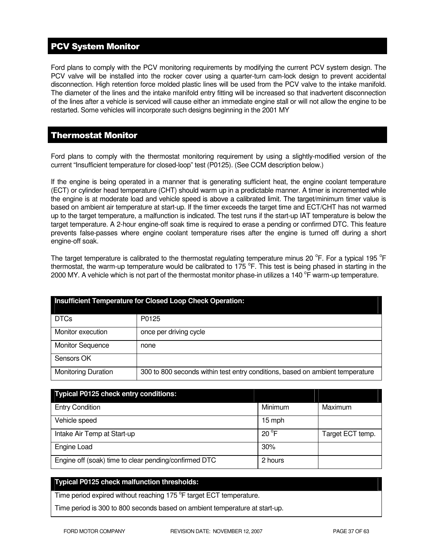# PCV System Monitor

Ford plans to comply with the PCV monitoring requirements by modifying the current PCV system design. The PCV valve will be installed into the rocker cover using a quarter-turn cam-lock design to prevent accidental disconnection. High retention force molded plastic lines will be used from the PCV valve to the intake manifold. The diameter of the lines and the intake manifold entry fitting will be increased so that inadvertent disconnection of the lines after a vehicle is serviced will cause either an immediate engine stall or will not allow the engine to be restarted. Some vehicles will incorporate such designs beginning in the 2001 MY

# Thermostat Monitor

Ford plans to comply with the thermostat monitoring requirement by using a slightly-modified version of the current "Insufficient temperature for closed-loop" test (P0125). (See CCM description below.)

If the engine is being operated in a manner that is generating sufficient heat, the engine coolant temperature (ECT) or cylinder head temperature (CHT) should warm up in a predictable manner. A timer is incremented while the engine is at moderate load and vehicle speed is above a calibrated limit. The target/minimum timer value is based on ambient air temperature at start-up. If the timer exceeds the target time and ECT/CHT has not warmed up to the target temperature, a malfunction is indicated. The test runs if the start-up IAT temperature is below the target temperature. A 2-hour engine-off soak time is required to erase a pending or confirmed DTC. This feature prevents false-passes where engine coolant temperature rises after the engine is turned off during a short engine-off soak.

The target temperature is calibrated to the thermostat regulating temperature minus 20  $\rm{^oF}$ . For a typical 195  $\rm{^oF}$ thermostat, the warm-up temperature would be calibrated to 175  $\degree$ F. This test is being phased in starting in the 2000 MY. A vehicle which is not part of the thermostat monitor phase-in utilizes a 140  $\rm{^oF}$  warm-up temperature.

| Insufficient Temperature for Closed Loop Check Operation: |                                                                               |  |
|-----------------------------------------------------------|-------------------------------------------------------------------------------|--|
| <b>DTCs</b>                                               | P0125                                                                         |  |
| Monitor execution                                         | once per driving cycle                                                        |  |
| <b>Monitor Sequence</b>                                   | none                                                                          |  |
| Sensors OK                                                |                                                                               |  |
| <b>Monitoring Duration</b>                                | 300 to 800 seconds within test entry conditions, based on ambient temperature |  |

| <b>Typical P0125 check entry conditions:</b>          |               |                  |
|-------------------------------------------------------|---------------|------------------|
| <b>Entry Condition</b>                                | Minimum       | Maximum          |
| Vehicle speed                                         | 15 mph        |                  |
| Intake Air Temp at Start-up                           | $20^{\circ}F$ | Target ECT temp. |
| Engine Load                                           | 30%           |                  |
| Engine off (soak) time to clear pending/confirmed DTC | 2 hours       |                  |

### **Typical P0125 check malfunction thresholds:**

Time period expired without reaching 175 °F target ECT temperature.

Time period is 300 to 800 seconds based on ambient temperature at start-up.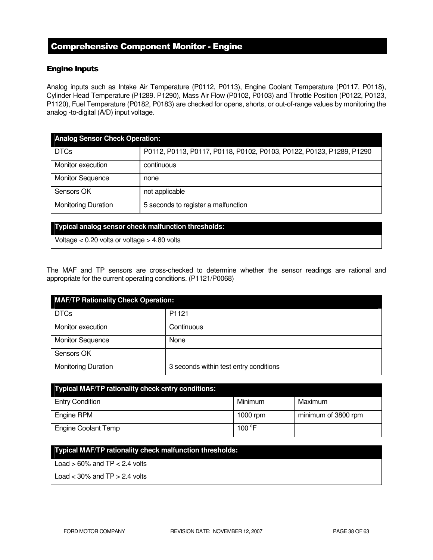# Comprehensive Component Monitor - Engine

### Engine Inputs

Analog inputs such as Intake Air Temperature (P0112, P0113), Engine Coolant Temperature (P0117, P0118), Cylinder Head Temperature (P1289. P1290), Mass Air Flow (P0102, P0103) and Throttle Position (P0122, P0123, P1120), Fuel Temperature (P0182, P0183) are checked for opens, shorts, or out-of-range values by monitoring the analog -to-digital (A/D) input voltage.

| <b>Analog Sensor Check Operation:</b> |                                                                      |  |
|---------------------------------------|----------------------------------------------------------------------|--|
| <b>DTCs</b>                           | P0112, P0113, P0117, P0118, P0102, P0103, P0122, P0123, P1289, P1290 |  |
| Monitor execution                     | continuous                                                           |  |
| <b>Monitor Sequence</b>               | none                                                                 |  |
| Sensors OK                            | not applicable                                                       |  |
| <b>Monitoring Duration</b>            | 5 seconds to register a malfunction                                  |  |

#### **Typical analog sensor check malfunction thresholds:**

Voltage < 0.20 volts or voltage > 4.80 volts

The MAF and TP sensors are cross-checked to determine whether the sensor readings are rational and appropriate for the current operating conditions. (P1121/P0068)

| <b>MAF/TP Rationality Check Operation:</b> |                                        |  |
|--------------------------------------------|----------------------------------------|--|
| <b>DTCs</b>                                | P1121                                  |  |
| Monitor execution                          | Continuous                             |  |
| <b>Monitor Sequence</b>                    | None                                   |  |
| Sensors OK                                 |                                        |  |
| <b>Monitoring Duration</b>                 | 3 seconds within test entry conditions |  |

| <b>Typical MAF/TP rationality check entry conditions:</b> |                 |                     |  |
|-----------------------------------------------------------|-----------------|---------------------|--|
| <b>Entry Condition</b>                                    | Minimum         | Maximum             |  |
| Engine RPM                                                | 1000 rpm        | minimum of 3800 rpm |  |
| <b>Engine Coolant Temp</b>                                | 100 $\degree$ F |                     |  |

### **Typical MAF/TP rationality check malfunction thresholds:**

Load  $> 60\%$  and TP  $< 2.4$  volts

Load  $<$  30% and TP  $>$  2.4 volts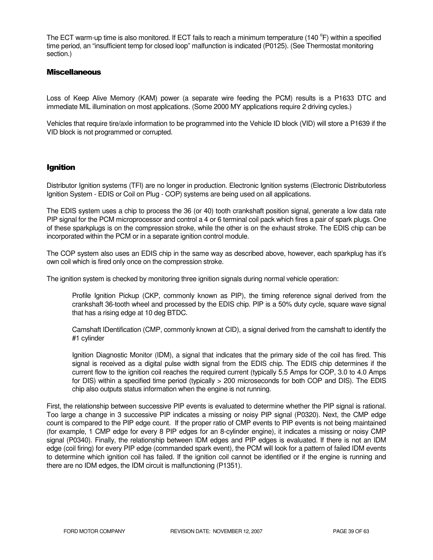The ECT warm-up time is also monitored. If ECT fails to reach a minimum temperature (140 °F) within a specified time period, an "insufficient temp for closed loop" malfunction is indicated (P0125). (See Thermostat monitoring section.)

### **Miscellaneous**

Loss of Keep Alive Memory (KAM) power (a separate wire feeding the PCM) results is a P1633 DTC and immediate MIL illumination on most applications. (Some 2000 MY applications require 2 driving cycles.)

Vehicles that require tire/axle information to be programmed into the Vehicle ID block (VID) will store a P1639 if the VID block is not programmed or corrupted.

### Ignition

Distributor Ignition systems (TFI) are no longer in production. Electronic Ignition systems (Electronic Distributorless Ignition System - EDIS or Coil on Plug - COP) systems are being used on all applications.

The EDIS system uses a chip to process the 36 (or 40) tooth crankshaft position signal, generate a low data rate PIP signal for the PCM microprocessor and control a 4 or 6 terminal coil pack which fires a pair of spark plugs. One of these sparkplugs is on the compression stroke, while the other is on the exhaust stroke. The EDIS chip can be incorporated within the PCM or in a separate ignition control module.

The COP system also uses an EDIS chip in the same way as described above, however, each sparkplug has it's own coil which is fired only once on the compression stroke.

The ignition system is checked by monitoring three ignition signals during normal vehicle operation:

Profile Ignition Pickup (CKP, commonly known as PIP), the timing reference signal derived from the crankshaft 36-tooth wheel and processed by the EDIS chip. PIP is a 50% duty cycle, square wave signal that has a rising edge at 10 deg BTDC.

Camshaft IDentification (CMP, commonly known at CID), a signal derived from the camshaft to identify the #1 cylinder

Ignition Diagnostic Monitor (IDM), a signal that indicates that the primary side of the coil has fired. This signal is received as a digital pulse width signal from the EDIS chip. The EDIS chip determines if the current flow to the ignition coil reaches the required current (typically 5.5 Amps for COP, 3.0 to 4.0 Amps for DIS) within a specified time period (typically > 200 microseconds for both COP and DIS). The EDIS chip also outputs status information when the engine is not running.

First, the relationship between successive PIP events is evaluated to determine whether the PIP signal is rational. Too large a change in 3 successive PIP indicates a missing or noisy PIP signal (P0320). Next, the CMP edge count is compared to the PIP edge count. If the proper ratio of CMP events to PIP events is not being maintained (for example, 1 CMP edge for every 8 PIP edges for an 8-cylinder engine), it indicates a missing or noisy CMP signal (P0340). Finally, the relationship between IDM edges and PIP edges is evaluated. If there is not an IDM edge (coil firing) for every PIP edge (commanded spark event), the PCM will look for a pattern of failed IDM events to determine which ignition coil has failed. If the ignition coil cannot be identified or if the engine is running and there are no IDM edges, the IDM circuit is malfunctioning (P1351).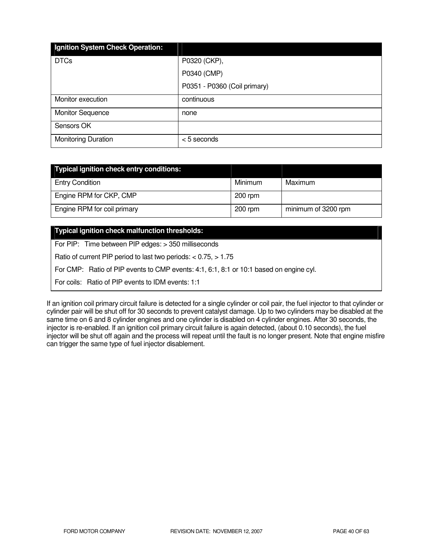| Ignition System Check Operation: |                              |
|----------------------------------|------------------------------|
| <b>DTCs</b>                      | P0320 (CKP),                 |
|                                  | P0340 (CMP)                  |
|                                  | P0351 - P0360 (Coil primary) |
| Monitor execution                | continuous                   |
| <b>Monitor Sequence</b>          | none                         |
| Sensors OK                       |                              |
| <b>Monitoring Duration</b>       | <5 seconds                   |

| Typical ignition check entry conditions: |           |                     |
|------------------------------------------|-----------|---------------------|
| <b>Entry Condition</b>                   | Minimum   | Maximum             |
| Engine RPM for CKP, CMP                  | $200$ rpm |                     |
| Engine RPM for coil primary              | $200$ rpm | minimum of 3200 rpm |

### **Typical ignition check malfunction thresholds:**

For PIP: Time between PIP edges: > 350 milliseconds

Ratio of current PIP period to last two periods: < 0.75, > 1.75

For CMP: Ratio of PIP events to CMP events: 4:1, 6:1, 8:1 or 10:1 based on engine cyl.

For coils: Ratio of PIP events to IDM events: 1:1

If an ignition coil primary circuit failure is detected for a single cylinder or coil pair, the fuel injector to that cylinder or cylinder pair will be shut off for 30 seconds to prevent catalyst damage. Up to two cylinders may be disabled at the same time on 6 and 8 cylinder engines and one cylinder is disabled on 4 cylinder engines. After 30 seconds, the injector is re-enabled. If an ignition coil primary circuit failure is again detected, (about 0.10 seconds), the fuel injector will be shut off again and the process will repeat until the fault is no longer present. Note that engine misfire can trigger the same type of fuel injector disablement.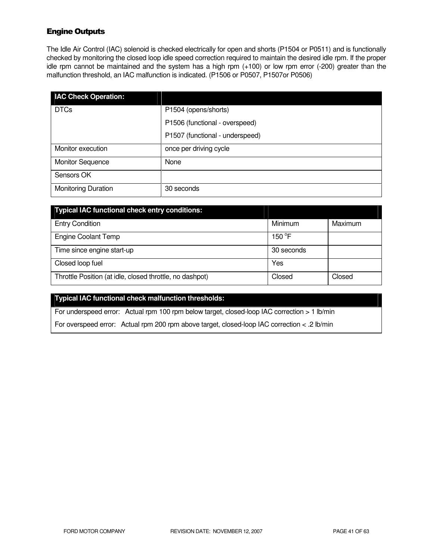# Engine Outputs

The Idle Air Control (IAC) solenoid is checked electrically for open and shorts (P1504 or P0511) and is functionally checked by monitoring the closed loop idle speed correction required to maintain the desired idle rpm. If the proper idle rpm cannot be maintained and the system has a high rpm (+100) or low rpm error (-200) greater than the malfunction threshold, an IAC malfunction is indicated. (P1506 or P0507, P1507or P0506)

| <b>IAC Check Operation:</b> |                                 |
|-----------------------------|---------------------------------|
| <b>DTCs</b>                 | P1504 (opens/shorts)            |
|                             | P1506 (functional - overspeed)  |
|                             | P1507 (functional - underspeed) |
| Monitor execution           | once per driving cycle          |
| <b>Monitor Sequence</b>     | None                            |
| Sensors OK                  |                                 |
| <b>Monitoring Duration</b>  | 30 seconds                      |

| <b>Typical IAC functional check entry conditions:</b>    |            |         |
|----------------------------------------------------------|------------|---------|
| <b>Entry Condition</b>                                   | Minimum    | Maximum |
| <b>Engine Coolant Temp</b>                               | 150 °F     |         |
| Time since engine start-up                               | 30 seconds |         |
| Closed loop fuel                                         | Yes        |         |
| Throttle Position (at idle, closed throttle, no dashpot) | Closed     | Closed  |

### **Typical IAC functional check malfunction thresholds:**

For underspeed error: Actual rpm 100 rpm below target, closed-loop IAC correction > 1 lb/min

For overspeed error: Actual rpm 200 rpm above target, closed-loop IAC correction < .2 lb/min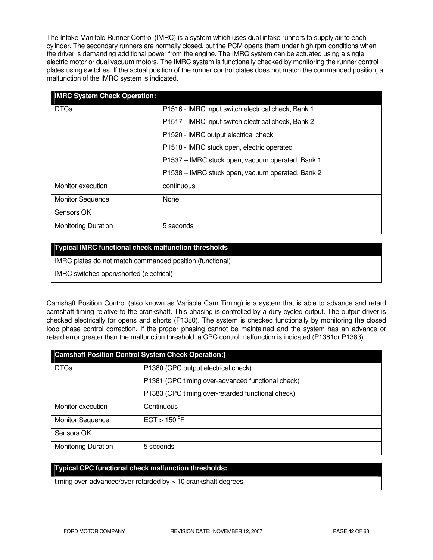The Intake Manifold Runner Control (IMRC) is a system which uses dual intake runners to supply air to each cylinder. The secondary runners are normally closed, but the PCM opens them under high rpm conditions when the driver is demanding additional power from the engine. The IMRC system can be actuated using a single electric motor or dual vacuum motors. The IMRC system is functionally checked by monitoring the runner control plates using switches. If the actual position of the runner control plates does not match the commanded position, a malfunction of the IMRC system is indicated.

| <b>IMRC System Check Operation:</b> |                                                    |
|-------------------------------------|----------------------------------------------------|
| <b>DTCs</b>                         | P1516 - IMRC input switch electrical check, Bank 1 |
|                                     | P1517 - IMRC input switch electrical check, Bank 2 |
|                                     | P1520 - IMRC output electrical check               |
|                                     | P1518 - IMRC stuck open, electric operated         |
|                                     | P1537 - IMRC stuck open, vacuum operated, Bank 1   |
|                                     | P1538 - IMRC stuck open, vacuum operated, Bank 2   |
| Monitor execution                   | continuous                                         |
| <b>Monitor Sequence</b>             | None                                               |
| Sensors OK                          |                                                    |
| <b>Monitoring Duration</b>          | 5 seconds                                          |

### **Typical IMRC functional check malfunction thresholds**

IMRC plates do not match commanded position (functional)

IMRC switches open/shorted (electrical)

Camshaft Position Control (also known as Variable Cam Timing) is a system that is able to advance and retard camshaft timing relative to the crankshaft. This phasing is controlled by a duty-cycled output. The output driver is checked electrically for opens and shorts (P1380). The system is checked functionally by monitoring the closed loop phase control correction. If the proper phasing cannot be maintained and the system has an advance or retard error greater than the malfunction threshold, a CPC control malfunction is indicated (P1381or P1383).

| <b>Camshaft Position Control System Check Operation:]</b> |                                                   |  |
|-----------------------------------------------------------|---------------------------------------------------|--|
| <b>DTCs</b>                                               | P1380 (CPC output electrical check)               |  |
|                                                           | P1381 (CPC timing over-advanced functional check) |  |
|                                                           | P1383 (CPC timing over-retarded functional check) |  |
| Monitor execution                                         | Continuous                                        |  |
| <b>Monitor Sequence</b>                                   | ECT > 150 °F                                      |  |
| Sensors OK                                                |                                                   |  |
| <b>Monitoring Duration</b>                                | 5 seconds                                         |  |

### **Typical CPC functional check malfunction thresholds:**

timing over-advanced/over-retarded by > 10 crankshaft degrees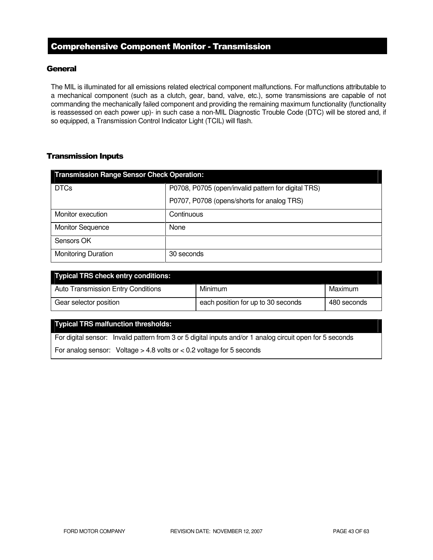# Comprehensive Component Monitor - Transmission

### **General**

The MIL is illuminated for all emissions related electrical component malfunctions. For malfunctions attributable to a mechanical component (such as a clutch, gear, band, valve, etc.), some transmissions are capable of not commanding the mechanically failed component and providing the remaining maximum functionality (functionality is reassessed on each power up)- in such case a non-MIL Diagnostic Trouble Code (DTC) will be stored and, if so equipped, a Transmission Control Indicator Light (TCIL) will flash.

### Transmission Inputs

| <b>Transmission Range Sensor Check Operation:</b> |                                                     |  |
|---------------------------------------------------|-----------------------------------------------------|--|
| <b>DTCs</b>                                       | P0708, P0705 (open/invalid pattern for digital TRS) |  |
|                                                   | P0707, P0708 (opens/shorts for analog TRS)          |  |
| Monitor execution                                 | Continuous                                          |  |
| <b>Monitor Sequence</b>                           | None                                                |  |
| Sensors OK                                        |                                                     |  |
| <b>Monitoring Duration</b>                        | 30 seconds                                          |  |

| <b>Typical TRS check entry conditions:</b> |                                    |             |
|--------------------------------------------|------------------------------------|-------------|
| <b>Auto Transmission Entry Conditions</b>  | Minimum                            | Maximum     |
| Gear selector position                     | each position for up to 30 seconds | 480 seconds |

### **Typical TRS malfunction thresholds:**

For digital sensor: Invalid pattern from 3 or 5 digital inputs and/or 1 analog circuit open for 5 seconds

For analog sensor: Voltage  $> 4.8$  volts or  $< 0.2$  voltage for 5 seconds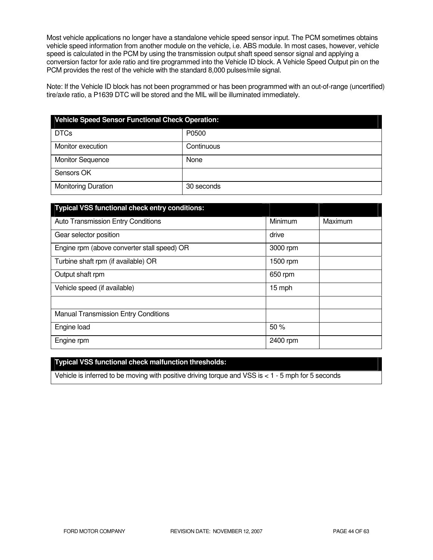Most vehicle applications no longer have a standalone vehicle speed sensor input. The PCM sometimes obtains vehicle speed information from another module on the vehicle, i.e. ABS module. In most cases, however, vehicle speed is calculated in the PCM by using the transmission output shaft speed sensor signal and applying a conversion factor for axle ratio and tire programmed into the Vehicle ID block. A Vehicle Speed Output pin on the PCM provides the rest of the vehicle with the standard 8,000 pulses/mile signal.

Note: If the Vehicle ID block has not been programmed or has been programmed with an out-of-range (uncertified) tire/axle ratio, a P1639 DTC will be stored and the MIL will be illuminated immediately.

| <b>Vehicle Speed Sensor Functional Check Operation:</b> |            |  |
|---------------------------------------------------------|------------|--|
| <b>DTCs</b>                                             | P0500      |  |
| Monitor execution                                       | Continuous |  |
| <b>Monitor Sequence</b>                                 | None       |  |
| Sensors OK                                              |            |  |
| <b>Monitoring Duration</b>                              | 30 seconds |  |

| <b>Typical VSS functional check entry conditions:</b> |          |         |
|-------------------------------------------------------|----------|---------|
| <b>Auto Transmission Entry Conditions</b>             | Minimum  | Maximum |
| Gear selector position                                | drive    |         |
| Engine rpm (above converter stall speed) OR           | 3000 rpm |         |
| Turbine shaft rpm (if available) OR                   | 1500 rpm |         |
| Output shaft rpm                                      | 650 rpm  |         |
| Vehicle speed (if available)                          | 15 mph   |         |
|                                                       |          |         |
| <b>Manual Transmission Entry Conditions</b>           |          |         |
| Engine load                                           | 50%      |         |
| Engine rpm                                            | 2400 rpm |         |

# **Typical VSS functional check malfunction thresholds:**

Vehicle is inferred to be moving with positive driving torque and VSS is < 1 - 5 mph for 5 seconds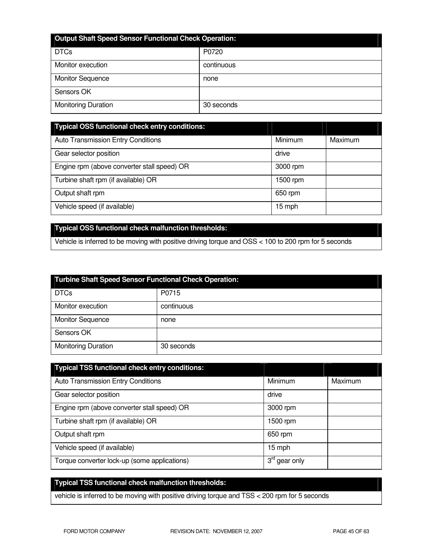| <b>Output Shaft Speed Sensor Functional Check Operation:</b> |            |  |
|--------------------------------------------------------------|------------|--|
| <b>DTCs</b>                                                  | P0720      |  |
| Monitor execution                                            | continuous |  |
| <b>Monitor Sequence</b>                                      | none       |  |
| Sensors OK                                                   |            |  |
| <b>Monitoring Duration</b>                                   | 30 seconds |  |

| Typical OSS functional check entry conditions: |          |         |
|------------------------------------------------|----------|---------|
| Auto Transmission Entry Conditions             | Minimum  | Maximum |
| Gear selector position                         | drive    |         |
| Engine rpm (above converter stall speed) OR    | 3000 rpm |         |
| Turbine shaft rpm (if available) OR            | 1500 rpm |         |
| Output shaft rpm                               | 650 rpm  |         |
| Vehicle speed (if available)                   | 15 mph   |         |

# **Typical OSS functional check malfunction thresholds:**

Vehicle is inferred to be moving with positive driving torque and OSS < 100 to 200 rpm for 5 seconds

| <b>Turbine Shaft Speed Sensor Functional Check Operation:</b> |            |  |
|---------------------------------------------------------------|------------|--|
| <b>DTCs</b>                                                   | P0715      |  |
| Monitor execution                                             | continuous |  |
| <b>Monitor Sequence</b>                                       | none       |  |
| Sensors OK                                                    |            |  |
| <b>Monitoring Duration</b>                                    | 30 seconds |  |

| <b>Typical TSS functional check entry conditions:</b> |                           |         |
|-------------------------------------------------------|---------------------------|---------|
| <b>Auto Transmission Entry Conditions</b>             | Minimum                   | Maximum |
| Gear selector position                                | drive                     |         |
| Engine rpm (above converter stall speed) OR           | 3000 rpm                  |         |
| Turbine shaft rpm (if available) OR                   | 1500 rpm                  |         |
| Output shaft rpm                                      | 650 rpm                   |         |
| Vehicle speed (if available)                          | 15 mph                    |         |
| Torque converter lock-up (some applications)          | 3 <sup>rd</sup> gear only |         |

# **Typical TSS functional check malfunction thresholds:**

vehicle is inferred to be moving with positive driving torque and TSS < 200 rpm for 5 seconds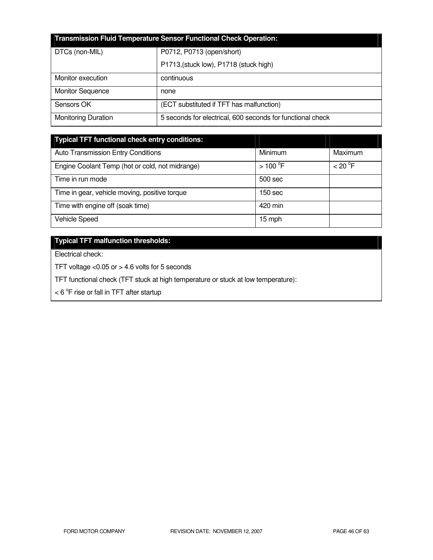| <b>Transmission Fluid Temperature Sensor Functional Check Operation:</b> |                                                            |  |
|--------------------------------------------------------------------------|------------------------------------------------------------|--|
| DTCs (non-MIL)                                                           | P0712, P0713 (open/short)                                  |  |
|                                                                          | P1713, (stuck low), P1718 (stuck high)                     |  |
| Monitor execution                                                        | continuous                                                 |  |
| <b>Monitor Sequence</b>                                                  | none                                                       |  |
| Sensors OK                                                               | (ECT substituted if TFT has malfunction)                   |  |
| <b>Monitoring Duration</b>                                               | 5 seconds for electrical, 600 seconds for functional check |  |

| <b>Typical TFT functional check entry conditions:</b> |                       |                     |
|-------------------------------------------------------|-----------------------|---------------------|
| Auto Transmission Entry Conditions                    | Minimum               | Maximum             |
| Engine Coolant Temp (hot or cold, not midrange)       | $>100$ <sup>°</sup> F | $<$ 20 $^{\circ}$ F |
| Time in run mode                                      | 500 sec               |                     |
| Time in gear, vehicle moving, positive torque         | 150 <sub>sec</sub>    |                     |
| Time with engine off (soak time)                      | 420 min               |                     |
| Vehicle Speed                                         | 15 mph                |                     |

# **Typical TFT malfunction thresholds:**

Electrical check:

TFT voltage <0.05 or > 4.6 volts for 5 seconds

TFT functional check (TFT stuck at high temperature or stuck at low temperature):

 $<$  6  $\mathrm{^{\circ}F}$  rise or fall in TFT after startup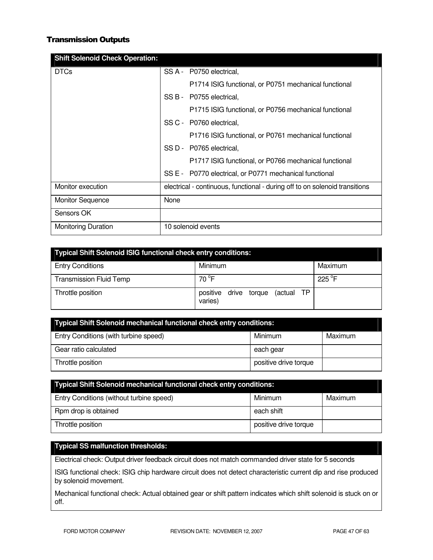# Transmission Outputs

| <b>Shift Solenoid Check Operation:</b> |                                                                             |
|----------------------------------------|-----------------------------------------------------------------------------|
| <b>DTCs</b>                            | SS A - P0750 electrical,                                                    |
|                                        | P1714 ISIG functional, or P0751 mechanical functional                       |
|                                        | SS B - P0755 electrical,                                                    |
|                                        | P1715 ISIG functional, or P0756 mechanical functional                       |
|                                        | SS C - P0760 electrical.                                                    |
|                                        | P1716 ISIG functional, or P0761 mechanical functional                       |
|                                        | SS D - P0765 electrical,                                                    |
|                                        | P1717 ISIG functional, or P0766 mechanical functional                       |
|                                        | SS E - P0770 electrical, or P0771 mechanical functional                     |
| Monitor execution                      | electrical - continuous, functional - during off to on solenoid transitions |
| <b>Monitor Sequence</b>                | None                                                                        |
| Sensors OK                             |                                                                             |
| <b>Monitoring Duration</b>             | 10 solenoid events                                                          |

| <b>Typical Shift Solenoid ISIG functional check entry conditions:</b> |                                                   |         |  |
|-----------------------------------------------------------------------|---------------------------------------------------|---------|--|
| <b>Entry Conditions</b>                                               | Minimum                                           | Maximum |  |
| <b>Transmission Fluid Temp</b>                                        | 70 °F                                             | 225 °F  |  |
| Throttle position                                                     | (actual TP<br>positive<br>drive torque<br>varies) |         |  |

| Typical Shift Solenoid mechanical functional check entry conditions: |                       |         |  |
|----------------------------------------------------------------------|-----------------------|---------|--|
| Entry Conditions (with turbine speed)                                | Minimum               | Maximum |  |
| Gear ratio calculated                                                | each gear             |         |  |
| Throttle position                                                    | positive drive torque |         |  |

| <b>Typical Shift Solenoid mechanical functional check entry conditions:</b> |                       |         |  |
|-----------------------------------------------------------------------------|-----------------------|---------|--|
| Entry Conditions (without turbine speed)                                    | Minimum               | Maximum |  |
| Rpm drop is obtained                                                        | each shift            |         |  |
| Throttle position                                                           | positive drive torque |         |  |

# **Typical SS malfunction thresholds:**

Electrical check: Output driver feedback circuit does not match commanded driver state for 5 seconds

ISIG functional check: ISIG chip hardware circuit does not detect characteristic current dip and rise produced by solenoid movement.

Mechanical functional check: Actual obtained gear or shift pattern indicates which shift solenoid is stuck on or off.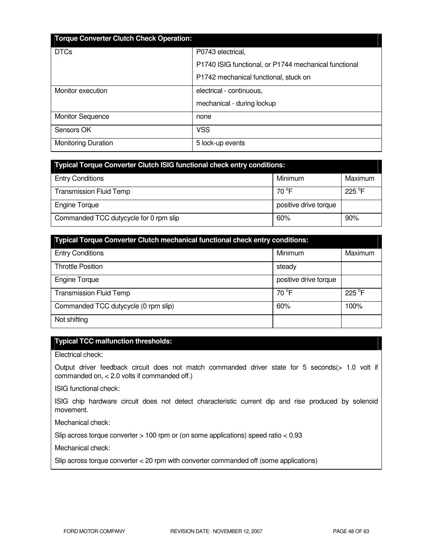| <b>Torque Converter Clutch Check Operation:</b> |                                                       |
|-------------------------------------------------|-------------------------------------------------------|
| <b>DTCs</b>                                     | P0743 electrical,                                     |
|                                                 | P1740 ISIG functional, or P1744 mechanical functional |
|                                                 | P1742 mechanical functional, stuck on                 |
| Monitor execution                               | electrical - continuous,                              |
|                                                 | mechanical - during lockup                            |
| <b>Monitor Sequence</b>                         | none                                                  |
| Sensors OK                                      | <b>VSS</b>                                            |
| <b>Monitoring Duration</b>                      | 5 lock-up events                                      |

| <b>Typical Torque Converter Clutch ISIG functional check entry conditions:</b> |                       |                 |  |
|--------------------------------------------------------------------------------|-----------------------|-----------------|--|
| <b>Entry Conditions</b>                                                        | Minimum               | Maximum         |  |
| <b>Transmission Fluid Temp</b>                                                 | 70 $^{\circ}$ F       | $225^{\circ}$ F |  |
| <b>Engine Torque</b>                                                           | positive drive torque |                 |  |
| Commanded TCC dutycycle for 0 rpm slip                                         | 60%                   | 90%             |  |

| <b>Typical Torque Converter Clutch mechanical functional check entry conditions:</b> |                       |         |  |
|--------------------------------------------------------------------------------------|-----------------------|---------|--|
| <b>Entry Conditions</b>                                                              | Minimum               | Maximum |  |
| <b>Throttle Position</b>                                                             | steady                |         |  |
| <b>Engine Torque</b>                                                                 | positive drive torque |         |  |
| <b>Transmission Fluid Temp</b>                                                       | $70^{\circ}$ F        | 225 °F  |  |
| Commanded TCC dutycycle (0 rpm slip)                                                 | 60%                   | 100%    |  |
| Not shifting                                                                         |                       |         |  |

# **Typical TCC malfunction thresholds:**

Electrical check:

Output driver feedback circuit does not match commanded driver state for 5 seconds(> 1.0 volt if commanded on, < 2.0 volts if commanded off.)

ISIG functional check:

ISIG chip hardware circuit does not detect characteristic current dip and rise produced by solenoid movement.

Mechanical check:

Slip across torque converter > 100 rpm or (on some applications) speed ratio < 0.93

Mechanical check:

Slip across torque converter < 20 rpm with converter commanded off (some applications)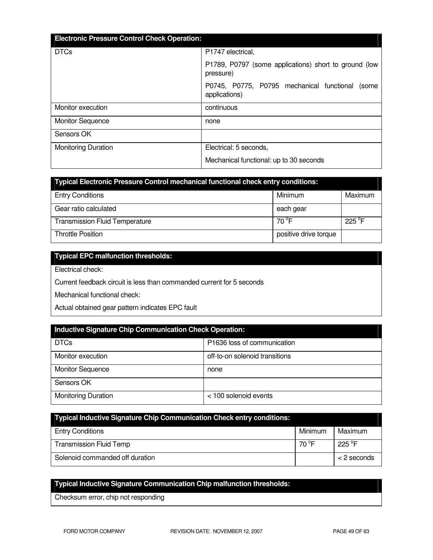| <b>Electronic Pressure Control Check Operation:</b> |                                                                     |  |  |
|-----------------------------------------------------|---------------------------------------------------------------------|--|--|
| <b>DTCs</b>                                         | P1747 electrical,                                                   |  |  |
|                                                     | P1789, P0797 (some applications) short to ground (low<br>pressure)  |  |  |
|                                                     | P0745, P0775, P0795 mechanical functional<br>(some<br>applications) |  |  |
| Monitor execution                                   | continuous                                                          |  |  |
| <b>Monitor Sequence</b>                             | none                                                                |  |  |
| Sensors OK                                          |                                                                     |  |  |
| <b>Monitoring Duration</b>                          | Electrical: 5 seconds,                                              |  |  |
|                                                     | Mechanical functional: up to 30 seconds                             |  |  |

| Typical Electronic Pressure Control mechanical functional check entry conditions: |                       |                 |  |
|-----------------------------------------------------------------------------------|-----------------------|-----------------|--|
| <b>Entry Conditions</b>                                                           | Minimum               | Maximum         |  |
| Gear ratio calculated                                                             | each gear             |                 |  |
| <b>Transmission Fluid Temperature</b>                                             | 70 °F                 | $225^{\circ}$ F |  |
| <b>Throttle Position</b>                                                          | positive drive torque |                 |  |

# **Typical EPC malfunction thresholds:**

Electrical check:

Current feedback circuit is less than commanded current for 5 seconds

Mechanical functional check:

Actual obtained gear pattern indicates EPC fault

| <b>Inductive Signature Chip Communication Check Operation:</b> |                                |  |
|----------------------------------------------------------------|--------------------------------|--|
| <b>DTCs</b>                                                    | P1636 loss of communication    |  |
| Monitor execution                                              | off-to-on solenoid transitions |  |
| <b>Monitor Sequence</b>                                        | none                           |  |
| Sensors OK                                                     |                                |  |
| <b>Monitoring Duration</b>                                     | < 100 solenoid events          |  |

| Typical Inductive Signature Chip Communication Check entry conditions: |         |                  |
|------------------------------------------------------------------------|---------|------------------|
| <b>Entry Conditions</b>                                                | Minimum | Maximum          |
| <b>Transmission Fluid Temp</b>                                         | 70 °F   | 225 $^{\circ}$ F |
| Solenoid commanded off duration                                        |         | < 2 seconds      |

# **Typical Inductive Signature Communication Chip malfunction thresholds:**

Checksum error, chip not responding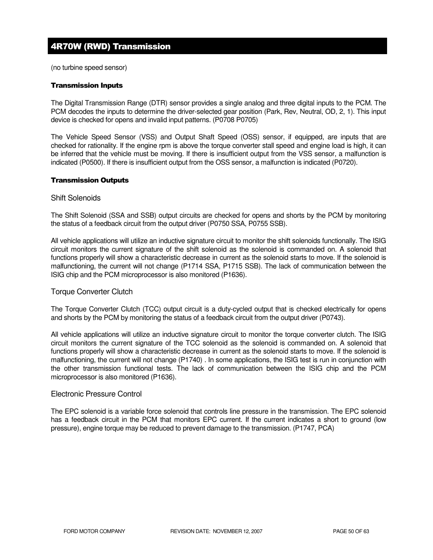# 4R70W (RWD) Transmission

(no turbine speed sensor)

#### Transmission Inputs

The Digital Transmission Range (DTR) sensor provides a single analog and three digital inputs to the PCM. The PCM decodes the inputs to determine the driver-selected gear position (Park, Rev, Neutral, OD, 2, 1). This input device is checked for opens and invalid input patterns. (P0708 P0705)

The Vehicle Speed Sensor (VSS) and Output Shaft Speed (OSS) sensor, if equipped, are inputs that are checked for rationality. If the engine rpm is above the torque converter stall speed and engine load is high, it can be inferred that the vehicle must be moving. If there is insufficient output from the VSS sensor, a malfunction is indicated (P0500). If there is insufficient output from the OSS sensor, a malfunction is indicated (P0720).

#### Transmission Outputs

#### Shift Solenoids

The Shift Solenoid (SSA and SSB) output circuits are checked for opens and shorts by the PCM by monitoring the status of a feedback circuit from the output driver (P0750 SSA, P0755 SSB).

All vehicle applications will utilize an inductive signature circuit to monitor the shift solenoids functionally. The ISIG circuit monitors the current signature of the shift solenoid as the solenoid is commanded on. A solenoid that functions properly will show a characteristic decrease in current as the solenoid starts to move. If the solenoid is malfunctioning, the current will not change (P1714 SSA, P1715 SSB). The lack of communication between the ISIG chip and the PCM microprocessor is also monitored (P1636).

### Torque Converter Clutch

The Torque Converter Clutch (TCC) output circuit is a duty-cycled output that is checked electrically for opens and shorts by the PCM by monitoring the status of a feedback circuit from the output driver (P0743).

All vehicle applications will utilize an inductive signature circuit to monitor the torque converter clutch. The ISIG circuit monitors the current signature of the TCC solenoid as the solenoid is commanded on. A solenoid that functions properly will show a characteristic decrease in current as the solenoid starts to move. If the solenoid is malfunctioning, the current will not change (P1740) . In some applications, the ISIG test is run in conjunction with the other transmission functional tests. The lack of communication between the ISIG chip and the PCM microprocessor is also monitored (P1636).

#### Electronic Pressure Control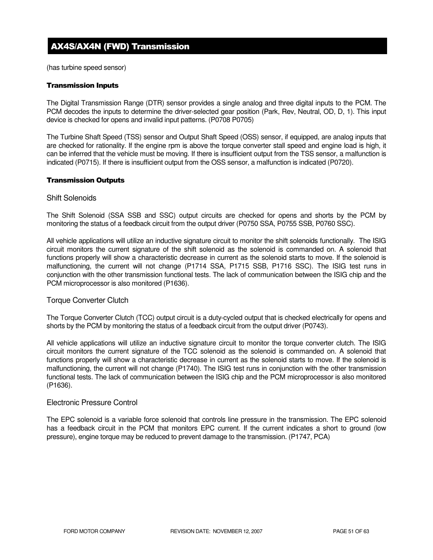# AX4S/AX4N (FWD) Transmission

(has turbine speed sensor)

#### Transmission Inputs

The Digital Transmission Range (DTR) sensor provides a single analog and three digital inputs to the PCM. The PCM decodes the inputs to determine the driver-selected gear position (Park, Rev, Neutral, OD, D, 1). This input device is checked for opens and invalid input patterns. (P0708 P0705)

The Turbine Shaft Speed (TSS) sensor and Output Shaft Speed (OSS) sensor, if equipped, are analog inputs that are checked for rationality. If the engine rpm is above the torque converter stall speed and engine load is high, it can be inferred that the vehicle must be moving. If there is insufficient output from the TSS sensor, a malfunction is indicated (P0715). If there is insufficient output from the OSS sensor, a malfunction is indicated (P0720).

#### Transmission Outputs

#### Shift Solenoids

The Shift Solenoid (SSA SSB and SSC) output circuits are checked for opens and shorts by the PCM by monitoring the status of a feedback circuit from the output driver (P0750 SSA, P0755 SSB, P0760 SSC).

All vehicle applications will utilize an inductive signature circuit to monitor the shift solenoids functionally. The ISIG circuit monitors the current signature of the shift solenoid as the solenoid is commanded on. A solenoid that functions properly will show a characteristic decrease in current as the solenoid starts to move. If the solenoid is malfunctioning, the current will not change (P1714 SSA, P1715 SSB, P1716 SSC). The ISIG test runs in conjunction with the other transmission functional tests. The lack of communication between the ISIG chip and the PCM microprocessor is also monitored (P1636).

### Torque Converter Clutch

The Torque Converter Clutch (TCC) output circuit is a duty-cycled output that is checked electrically for opens and shorts by the PCM by monitoring the status of a feedback circuit from the output driver (P0743).

All vehicle applications will utilize an inductive signature circuit to monitor the torque converter clutch. The ISIG circuit monitors the current signature of the TCC solenoid as the solenoid is commanded on. A solenoid that functions properly will show a characteristic decrease in current as the solenoid starts to move. If the solenoid is malfunctioning, the current will not change (P1740). The ISIG test runs in conjunction with the other transmission functional tests. The lack of communication between the ISIG chip and the PCM microprocessor is also monitored (P1636).

### Electronic Pressure Control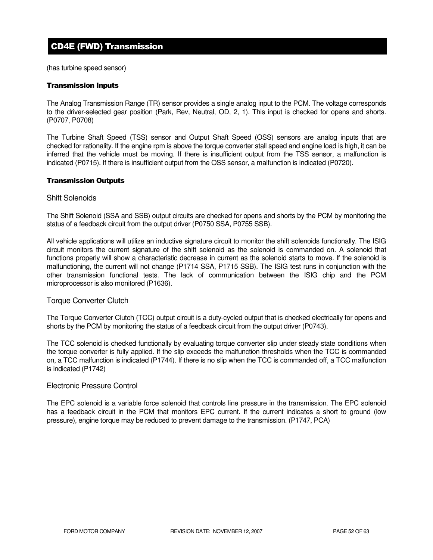# CD4E (FWD) Transmission

(has turbine speed sensor)

#### Transmission Inputs

The Analog Transmission Range (TR) sensor provides a single analog input to the PCM. The voltage corresponds to the driver-selected gear position (Park, Rev, Neutral, OD, 2, 1). This input is checked for opens and shorts. (P0707, P0708)

The Turbine Shaft Speed (TSS) sensor and Output Shaft Speed (OSS) sensors are analog inputs that are checked for rationality. If the engine rpm is above the torque converter stall speed and engine load is high, it can be inferred that the vehicle must be moving. If there is insufficient output from the TSS sensor, a malfunction is indicated (P0715). If there is insufficient output from the OSS sensor, a malfunction is indicated (P0720).

#### Transmission Outputs

#### Shift Solenoids

The Shift Solenoid (SSA and SSB) output circuits are checked for opens and shorts by the PCM by monitoring the status of a feedback circuit from the output driver (P0750 SSA, P0755 SSB).

All vehicle applications will utilize an inductive signature circuit to monitor the shift solenoids functionally. The ISIG circuit monitors the current signature of the shift solenoid as the solenoid is commanded on. A solenoid that functions properly will show a characteristic decrease in current as the solenoid starts to move. If the solenoid is malfunctioning, the current will not change (P1714 SSA, P1715 SSB). The ISIG test runs in conjunction with the other transmission functional tests. The lack of communication between the ISIG chip and the PCM microprocessor is also monitored (P1636).

### Torque Converter Clutch

The Torque Converter Clutch (TCC) output circuit is a duty-cycled output that is checked electrically for opens and shorts by the PCM by monitoring the status of a feedback circuit from the output driver (P0743).

The TCC solenoid is checked functionally by evaluating torque converter slip under steady state conditions when the torque converter is fully applied. If the slip exceeds the malfunction thresholds when the TCC is commanded on, a TCC malfunction is indicated (P1744). If there is no slip when the TCC is commanded off, a TCC malfunction is indicated (P1742)

### Electronic Pressure Control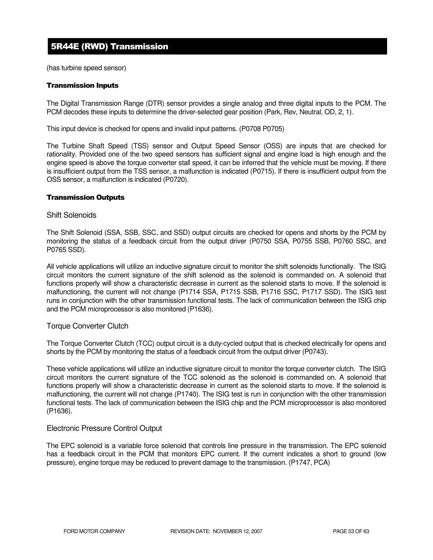# 5R44E (RWD) Transmission

(has turbine speed sensor)

#### Transmission Inputs

The Digital Transmission Range (DTR) sensor provides a single analog and three digital inputs to the PCM. The PCM decodes these inputs to determine the driver-selected gear position (Park, Rev, Neutral, OD, 2, 1).

This input device is checked for opens and invalid input patterns. (P0708 P0705)

The Turbine Shaft Speed (TSS) sensor and Output Speed Sensor (OSS) are inputs that are checked for rationality. Provided one of the two speed sensors has sufficient signal and engine load is high enough and the engine speed is above the torque converter stall speed, it can be inferred that the vehicle must be moving. If there is insufficient output from the TSS sensor, a malfunction is indicated (P0715). If there is insufficient output from the OSS sensor, a malfunction is indicated (P0720).

#### Transmission Outputs

#### Shift Solenoids

The Shift Solenoid (SSA, SSB, SSC, and SSD) output circuits are checked for opens and shorts by the PCM by monitoring the status of a feedback circuit from the output driver (P0750 SSA, P0755 SSB, P0760 SSC, and P0765 SSD).

All vehicle applications will utilize an inductive signature circuit to monitor the shift solenoids functionally. The ISIG circuit monitors the current signature of the shift solenoid as the solenoid is commanded on. A solenoid that functions properly will show a characteristic decrease in current as the solenoid starts to move. If the solenoid is malfunctioning, the current will not change (P1714 SSA, P1715 SSB, P1716 SSC, P1717 SSD). The ISIG test runs in conjunction with the other transmission functional tests. The lack of communication between the ISIG chip and the PCM microprocessor is also monitored (P1636).

### Torque Converter Clutch

The Torque Converter Clutch (TCC) output circuit is a duty-cycled output that is checked electrically for opens and shorts by the PCM by monitoring the status of a feedback circuit from the output driver (P0743).

These vehicle applications will utilize an inductive signature circuit to monitor the torque converter clutch. The ISIG circuit monitors the current signature of the TCC solenoid as the solenoid is commanded on. A solenoid that functions properly will show a characteristic decrease in current as the solenoid starts to move. If the solenoid is malfunctioning, the current will not change (P1740). The ISIG test is run in conjunction with the other transmission functional tests. The lack of communication between the ISIG chip and the PCM microprocessor is also monitored (P1636).

### Electronic Pressure Control Output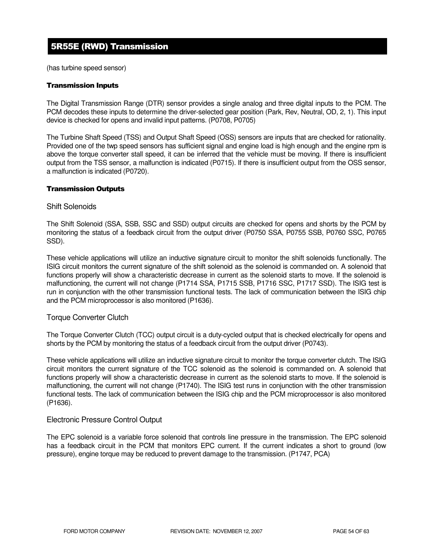# 5R55E (RWD) Transmission

(has turbine speed sensor)

### Transmission Inputs

The Digital Transmission Range (DTR) sensor provides a single analog and three digital inputs to the PCM. The PCM decodes these inputs to determine the driver-selected gear position (Park, Rev, Neutral, OD, 2, 1). This input device is checked for opens and invalid input patterns. (P0708, P0705)

The Turbine Shaft Speed (TSS) and Output Shaft Speed (OSS) sensors are inputs that are checked for rationality. Provided one of the twp speed sensors has sufficient signal and engine load is high enough and the engine rpm is above the torque converter stall speed, it can be inferred that the vehicle must be moving. If there is insufficient output from the TSS sensor, a malfunction is indicated (P0715). If there is insufficient output from the OSS sensor, a malfunction is indicated (P0720).

### Transmission Outputs

### Shift Solenoids

The Shift Solenoid (SSA, SSB, SSC and SSD) output circuits are checked for opens and shorts by the PCM by monitoring the status of a feedback circuit from the output driver (P0750 SSA, P0755 SSB, P0760 SSC, P0765 SSD).

These vehicle applications will utilize an inductive signature circuit to monitor the shift solenoids functionally. The ISIG circuit monitors the current signature of the shift solenoid as the solenoid is commanded on. A solenoid that functions properly will show a characteristic decrease in current as the solenoid starts to move. If the solenoid is malfunctioning, the current will not change (P1714 SSA, P1715 SSB, P1716 SSC, P1717 SSD). The ISIG test is run in conjunction with the other transmission functional tests. The lack of communication between the ISIG chip and the PCM microprocessor is also monitored (P1636).

### Torque Converter Clutch

The Torque Converter Clutch (TCC) output circuit is a duty-cycled output that is checked electrically for opens and shorts by the PCM by monitoring the status of a feedback circuit from the output driver (P0743).

These vehicle applications will utilize an inductive signature circuit to monitor the torque converter clutch. The ISIG circuit monitors the current signature of the TCC solenoid as the solenoid is commanded on. A solenoid that functions properly will show a characteristic decrease in current as the solenoid starts to move. If the solenoid is malfunctioning, the current will not change (P1740). The ISIG test runs in conjunction with the other transmission functional tests. The lack of communication between the ISIG chip and the PCM microprocessor is also monitored (P1636).

### Electronic Pressure Control Output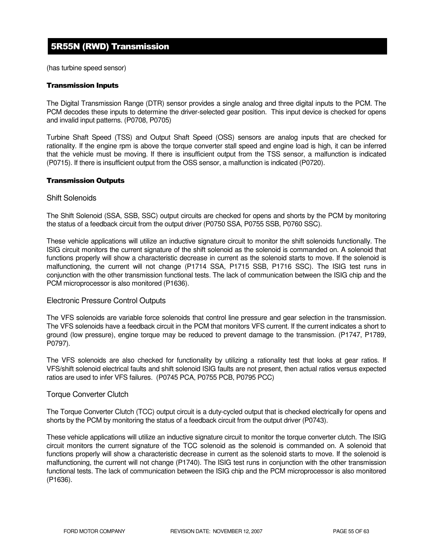# 5R55N (RWD) Transmission

(has turbine speed sensor)

#### Transmission Inputs

The Digital Transmission Range (DTR) sensor provides a single analog and three digital inputs to the PCM. The PCM decodes these inputs to determine the driver-selected gear position. This input device is checked for opens and invalid input patterns. (P0708, P0705)

Turbine Shaft Speed (TSS) and Output Shaft Speed (OSS) sensors are analog inputs that are checked for rationality. If the engine rpm is above the torque converter stall speed and engine load is high, it can be inferred that the vehicle must be moving. If there is insufficient output from the TSS sensor, a malfunction is indicated (P0715). If there is insufficient output from the OSS sensor, a malfunction is indicated (P0720).

#### Transmission Outputs

#### Shift Solenoids

The Shift Solenoid (SSA, SSB, SSC) output circuits are checked for opens and shorts by the PCM by monitoring the status of a feedback circuit from the output driver (P0750 SSA, P0755 SSB, P0760 SSC).

These vehicle applications will utilize an inductive signature circuit to monitor the shift solenoids functionally. The ISIG circuit monitors the current signature of the shift solenoid as the solenoid is commanded on. A solenoid that functions properly will show a characteristic decrease in current as the solenoid starts to move. If the solenoid is malfunctioning, the current will not change (P1714 SSA, P1715 SSB, P1716 SSC). The ISIG test runs in conjunction with the other transmission functional tests. The lack of communication between the ISIG chip and the PCM microprocessor is also monitored (P1636).

### Electronic Pressure Control Outputs

The VFS solenoids are variable force solenoids that control line pressure and gear selection in the transmission. The VFS solenoids have a feedback circuit in the PCM that monitors VFS current. If the current indicates a short to ground (low pressure), engine torque may be reduced to prevent damage to the transmission. (P1747, P1789, P0797).

The VFS solenoids are also checked for functionality by utilizing a rationality test that looks at gear ratios. If VFS/shift solenoid electrical faults and shift solenoid ISIG faults are not present, then actual ratios versus expected ratios are used to infer VFS failures. (P0745 PCA, P0755 PCB, P0795 PCC)

### Torque Converter Clutch

The Torque Converter Clutch (TCC) output circuit is a duty-cycled output that is checked electrically for opens and shorts by the PCM by monitoring the status of a feedback circuit from the output driver (P0743).

These vehicle applications will utilize an inductive signature circuit to monitor the torque converter clutch. The ISIG circuit monitors the current signature of the TCC solenoid as the solenoid is commanded on. A solenoid that functions properly will show a characteristic decrease in current as the solenoid starts to move. If the solenoid is malfunctioning, the current will not change (P1740). The ISIG test runs in conjunction with the other transmission functional tests. The lack of communication between the ISIG chip and the PCM microprocessor is also monitored (P1636).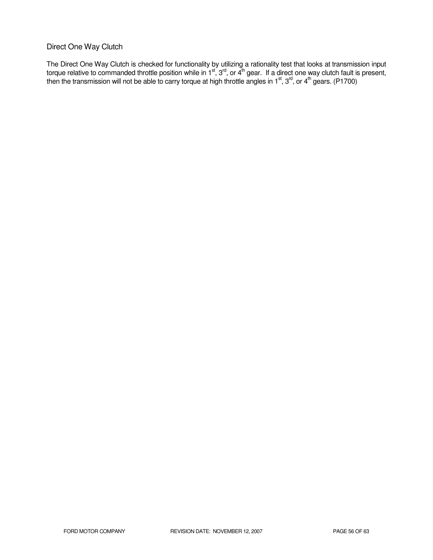# Direct One Way Clutch

The Direct One Way Clutch is checked for functionality by utilizing a rationality test that looks at transmission input torque relative to commanded throttle position while in 1<sup>st</sup>, 3<sup>rd</sup>, or 4<sup>th</sup> gear. If a direct one way clutch fault is present, then the transmission will not be able to carry torque at high throttle angles in 1<sup>st</sup>, 3<sup>rd</sup>, or 4<sup>th</sup> gears. (P1700)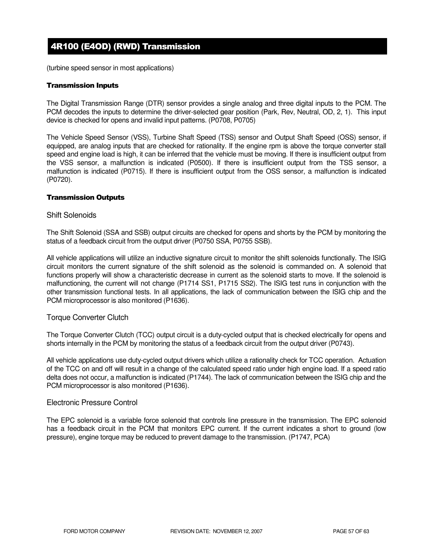# 4R100 (E4OD) (RWD) Transmission

(turbine speed sensor in most applications)

### Transmission Inputs

The Digital Transmission Range (DTR) sensor provides a single analog and three digital inputs to the PCM. The PCM decodes the inputs to determine the driver-selected gear position (Park, Rev, Neutral, OD, 2, 1). This input device is checked for opens and invalid input patterns. (P0708, P0705)

The Vehicle Speed Sensor (VSS), Turbine Shaft Speed (TSS) sensor and Output Shaft Speed (OSS) sensor, if equipped, are analog inputs that are checked for rationality. If the engine rpm is above the torque converter stall speed and engine load is high, it can be inferred that the vehicle must be moving. If there is insufficient output from the VSS sensor, a malfunction is indicated (P0500). If there is insufficient output from the TSS sensor, a malfunction is indicated (P0715). If there is insufficient output from the OSS sensor, a malfunction is indicated (P0720).

### Transmission Outputs

#### Shift Solenoids

The Shift Solenoid (SSA and SSB) output circuits are checked for opens and shorts by the PCM by monitoring the status of a feedback circuit from the output driver (P0750 SSA, P0755 SSB).

All vehicle applications will utilize an inductive signature circuit to monitor the shift solenoids functionally. The ISIG circuit monitors the current signature of the shift solenoid as the solenoid is commanded on. A solenoid that functions properly will show a characteristic decrease in current as the solenoid starts to move. If the solenoid is malfunctioning, the current will not change (P1714 SS1, P1715 SS2). The ISIG test runs in conjunction with the other transmission functional tests. In all applications, the lack of communication between the ISIG chip and the PCM microprocessor is also monitored (P1636).

### Torque Converter Clutch

The Torque Converter Clutch (TCC) output circuit is a duty-cycled output that is checked electrically for opens and shorts internally in the PCM by monitoring the status of a feedback circuit from the output driver (P0743).

All vehicle applications use duty-cycled output drivers which utilize a rationality check for TCC operation. Actuation of the TCC on and off will result in a change of the calculated speed ratio under high engine load. If a speed ratio delta does not occur, a malfunction is indicated (P1744). The lack of communication between the ISIG chip and the PCM microprocessor is also monitored (P1636).

### Electronic Pressure Control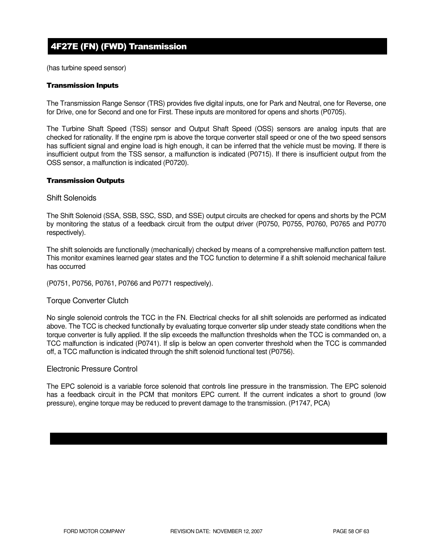# 4F27E (FN) (FWD) Transmission

(has turbine speed sensor)

### Transmission Inputs

The Transmission Range Sensor (TRS) provides five digital inputs, one for Park and Neutral, one for Reverse, one for Drive, one for Second and one for First. These inputs are monitored for opens and shorts (P0705).

The Turbine Shaft Speed (TSS) sensor and Output Shaft Speed (OSS) sensors are analog inputs that are checked for rationality. If the engine rpm is above the torque converter stall speed or one of the two speed sensors has sufficient signal and engine load is high enough, it can be inferred that the vehicle must be moving. If there is insufficient output from the TSS sensor, a malfunction is indicated (P0715). If there is insufficient output from the OSS sensor, a malfunction is indicated (P0720).

#### Transmission Outputs

#### Shift Solenoids

The Shift Solenoid (SSA, SSB, SSC, SSD, and SSE) output circuits are checked for opens and shorts by the PCM by monitoring the status of a feedback circuit from the output driver (P0750, P0755, P0760, P0765 and P0770 respectively).

The shift solenoids are functionally (mechanically) checked by means of a comprehensive malfunction pattern test. This monitor examines learned gear states and the TCC function to determine if a shift solenoid mechanical failure has occurred

(P0751, P0756, P0761, P0766 and P0771 respectively).

### Torque Converter Clutch

No single solenoid controls the TCC in the FN. Electrical checks for all shift solenoids are performed as indicated above. The TCC is checked functionally by evaluating torque converter slip under steady state conditions when the torque converter is fully applied. If the slip exceeds the malfunction thresholds when the TCC is commanded on, a TCC malfunction is indicated (P0741). If slip is below an open converter threshold when the TCC is commanded off, a TCC malfunction is indicated through the shift solenoid functional test (P0756).

### Electronic Pressure Control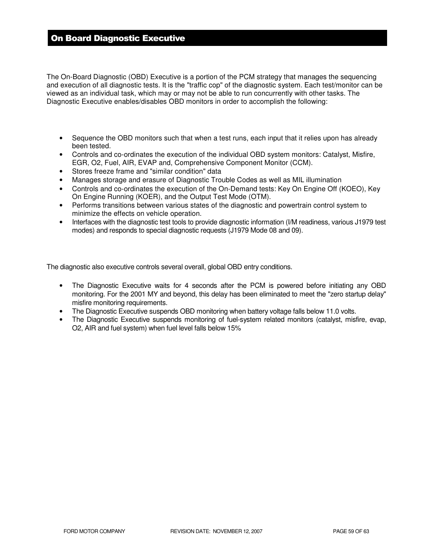# On Board Diagnostic Executive

The On-Board Diagnostic (OBD) Executive is a portion of the PCM strategy that manages the sequencing and execution of all diagnostic tests. It is the "traffic cop" of the diagnostic system. Each test/monitor can be viewed as an individual task, which may or may not be able to run concurrently with other tasks. The Diagnostic Executive enables/disables OBD monitors in order to accomplish the following:

- Sequence the OBD monitors such that when a test runs, each input that it relies upon has already been tested.
- Controls and co-ordinates the execution of the individual OBD system monitors: Catalyst, Misfire, EGR, O2, Fuel, AIR, EVAP and, Comprehensive Component Monitor (CCM).
- Stores freeze frame and "similar condition" data
- Manages storage and erasure of Diagnostic Trouble Codes as well as MIL illumination
- Controls and co-ordinates the execution of the On-Demand tests: Key On Engine Off (KOEO), Key On Engine Running (KOER), and the Output Test Mode (OTM).
- Performs transitions between various states of the diagnostic and powertrain control system to minimize the effects on vehicle operation.
- Interfaces with the diagnostic test tools to provide diagnostic information (I/M readiness, various J1979 test modes) and responds to special diagnostic requests (J1979 Mode 08 and 09).

The diagnostic also executive controls several overall, global OBD entry conditions.

- The Diagnostic Executive waits for 4 seconds after the PCM is powered before initiating any OBD monitoring. For the 2001 MY and beyond, this delay has been eliminated to meet the "zero startup delay" misfire monitoring requirements.
- The Diagnostic Executive suspends OBD monitoring when battery voltage falls below 11.0 volts.
- The Diagnostic Executive suspends monitoring of fuel-system related monitors (catalyst, misfire, evap, O2, AIR and fuel system) when fuel level falls below 15%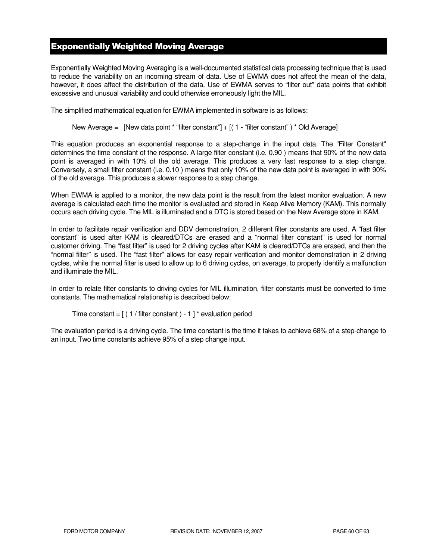# Exponentially Weighted Moving Average

Exponentially Weighted Moving Averaging is a well-documented statistical data processing technique that is used to reduce the variability on an incoming stream of data. Use of EWMA does not affect the mean of the data, however, it does affect the distribution of the data. Use of EWMA serves to "filter out" data points that exhibit excessive and unusual variability and could otherwise erroneously light the MIL.

The simplified mathematical equation for EWMA implemented in software is as follows:

New Average = [New data point \* "filter constant"] + [( 1 - "filter constant") \* Old Average]

This equation produces an exponential response to a step-change in the input data. The "Filter Constant" determines the time constant of the response. A large filter constant (i.e. 0.90 ) means that 90% of the new data point is averaged in with 10% of the old average. This produces a very fast response to a step change. Conversely, a small filter constant (i.e. 0.10 ) means that only 10% of the new data point is averaged in with 90% of the old average. This produces a slower response to a step change.

When EWMA is applied to a monitor, the new data point is the result from the latest monitor evaluation. A new average is calculated each time the monitor is evaluated and stored in Keep Alive Memory (KAM). This normally occurs each driving cycle. The MIL is illuminated and a DTC is stored based on the New Average store in KAM.

In order to facilitate repair verification and DDV demonstration, 2 different filter constants are used. A "fast filter constant" is used after KAM is cleared/DTCs are erased and a "normal filter constant" is used for normal customer driving. The "fast filter" is used for 2 driving cycles after KAM is cleared/DTCs are erased, and then the "normal filter" is used. The "fast filter" allows for easy repair verification and monitor demonstration in 2 driving cycles, while the normal filter is used to allow up to 6 driving cycles, on average, to properly identify a malfunction and illuminate the MIL.

In order to relate filter constants to driving cycles for MIL illumination, filter constants must be converted to time constants. The mathematical relationship is described below:

```
Time constant = [(1 / \text{filter constant}) - 1]^* evaluation period
```
The evaluation period is a driving cycle. The time constant is the time it takes to achieve 68% of a step-change to an input. Two time constants achieve 95% of a step change input.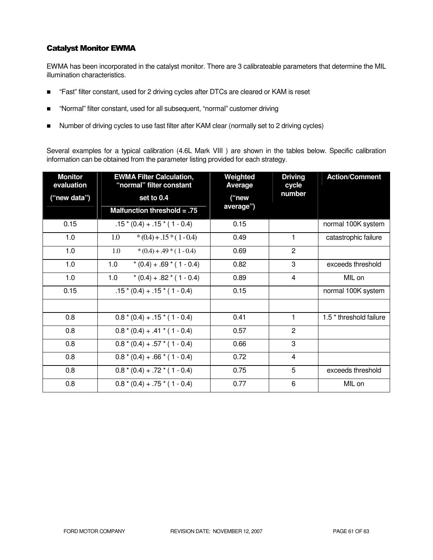# Catalyst Monitor EWMA

EWMA has been incorporated in the catalyst monitor. There are 3 calibrateable parameters that determine the MIL illumination characteristics.

- "Fast" filter constant, used for 2 driving cycles after DTCs are cleared or KAM is reset
- "Normal" filter constant, used for all subsequent, "normal" customer driving
- Number of driving cycles to use fast filter after KAM clear (normally set to 2 driving cycles)

Several examples for a typical calibration (4.6L Mark VIII ) are shown in the tables below. Specific calibration information can be obtained from the parameter listing provided for each strategy.

| <b>Monitor</b><br>evaluation | <b>EWMA Filter Calculation,</b><br>"normal" filter constant | Weighted<br>Average | <b>Driving</b><br>cycle | <b>Action/Comment</b>              |
|------------------------------|-------------------------------------------------------------|---------------------|-------------------------|------------------------------------|
| ("new data")                 | set to 0.4                                                  | ("new               | number                  |                                    |
|                              | Malfunction threshold $= .75$                               | average")           |                         |                                    |
| 0.15                         | $.15*(0.4) + .15*(1 - 0.4)$                                 | 0.15                |                         | normal 100K system                 |
| 1.0                          | $*(0.4) + .15*(1 - 0.4)$<br>1.0                             | 0.49                | 1                       | catastrophic failure               |
| 1.0                          | 1.0<br>$*(0.4) + .49 * (1 - 0.4)$                           | 0.69                | $\overline{2}$          |                                    |
| 1.0                          | 1.0<br>$*(0.4) + .69 * (1 - 0.4)$                           | 0.82                | 3                       | exceeds threshold                  |
| 1.0                          | 1.0<br>$*(0.4) + .82 * (1 - 0.4)$                           | 0.89                | 4                       | MIL on                             |
| 0.15                         | $.15*(0.4) + .15*(1 - 0.4)$                                 | 0.15                |                         | normal 100K system                 |
|                              |                                                             |                     |                         |                                    |
| 0.8                          | $0.8*(0.4) + .15*(1 - 0.4)$                                 | 0.41                | 1                       | 1.5 <sup>*</sup> threshold failure |
| 0.8                          | $0.8*(0.4) + .41*(1 - 0.4)$                                 | 0.57                | $\overline{2}$          |                                    |
| 0.8                          | $0.8*(0.4) + .57*(1 - 0.4)$                                 | 0.66                | 3                       |                                    |
| 0.8                          | $0.8*(0.4) + .66*(1 - 0.4)$                                 | 0.72                | 4                       |                                    |
| 0.8                          | $0.8*(0.4) + .72*(1 - 0.4)$                                 | 0.75                | 5                       | exceeds threshold                  |
| 0.8                          | $0.8*(0.4) + .75*(1 - 0.4)$                                 | 0.77                | 6                       | MIL on                             |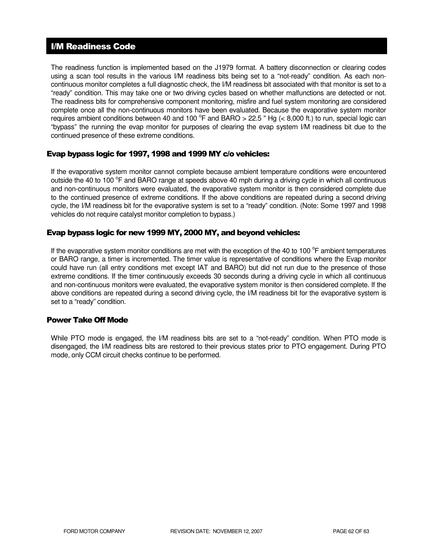# I/M Readiness Code

The readiness function is implemented based on the J1979 format. A battery disconnection or clearing codes using a scan tool results in the various I/M readiness bits being set to a "not-ready" condition. As each noncontinuous monitor completes a full diagnostic check, the I/M readiness bit associated with that monitor is set to a "ready" condition. This may take one or two driving cycles based on whether malfunctions are detected or not. The readiness bits for comprehensive component monitoring, misfire and fuel system monitoring are considered complete once all the non-continuous monitors have been evaluated. Because the evaporative system monitor requires ambient conditions between 40 and 100  $^{\circ}$ F and BARO > 22.5 " Hg (< 8,000 ft.) to run, special logic can "bypass" the running the evap monitor for purposes of clearing the evap system I/M readiness bit due to the continued presence of these extreme conditions.

### Evap bypass logic for 1997, 1998 and 1999 MY c/o vehicles:

If the evaporative system monitor cannot complete because ambient temperature conditions were encountered outside the 40 to 100 °F and BARO range at speeds above 40 mph during a driving cycle in which all continuous and non-continuous monitors were evaluated, the evaporative system monitor is then considered complete due to the continued presence of extreme conditions. If the above conditions are repeated during a second driving cycle, the I/M readiness bit for the evaporative system is set to a "ready" condition. (Note: Some 1997 and 1998 vehicles do not require catalyst monitor completion to bypass.)

# Evap bypass logic for new 1999 MY, 2000 MY, and beyond vehicles:

If the evaporative system monitor conditions are met with the exception of the 40 to 100 $^{\circ}$ F ambient temperatures or BARO range, a timer is incremented. The timer value is representative of conditions where the Evap monitor could have run (all entry conditions met except IAT and BARO) but did not run due to the presence of those extreme conditions. If the timer continuously exceeds 30 seconds during a driving cycle in which all continuous and non-continuous monitors were evaluated, the evaporative system monitor is then considered complete. If the above conditions are repeated during a second driving cycle, the I/M readiness bit for the evaporative system is set to a "ready" condition.

### Power Take Off Mode

While PTO mode is engaged, the I/M readiness bits are set to a "not-ready" condition. When PTO mode is disengaged, the I/M readiness bits are restored to their previous states prior to PTO engagement. During PTO mode, only CCM circuit checks continue to be performed.